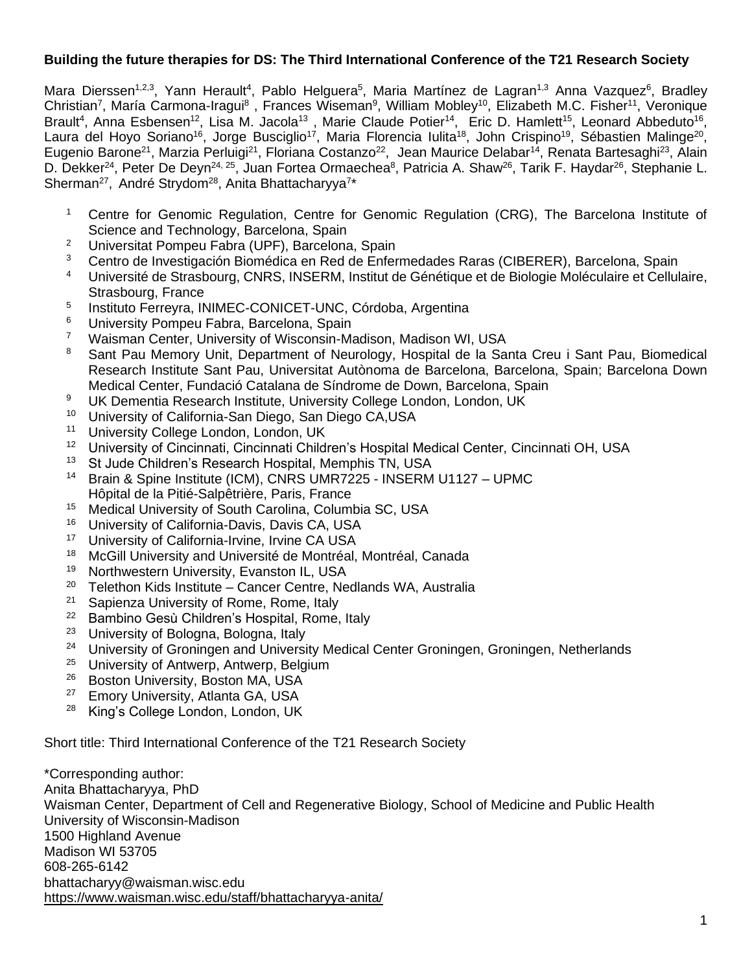# **Building the future therapies for DS: The Third International Conference of the T21 Research Society**

Mara Dierssen<sup>1,2,3</sup>, Yann Herault<sup>4</sup>, Pablo Helguera<sup>5</sup>, Maria Martínez de Lagran<sup>1,3</sup> Anna Vazquez<sup>6</sup>, Bradley Christian<sup>7</sup>, María Carmona-Iragui<sup>8</sup>, Frances Wiseman<sup>9</sup>, William Mobley<sup>10</sup>, Elizabeth M.C. Fisher<sup>11</sup>, Veronique Brault<sup>4</sup>, Anna Esbensen<sup>12</sup>, Lisa M. Jacola<sup>13</sup>, Marie Claude Potier<sup>14</sup>, Eric D. Hamlett<sup>15</sup>, Leonard Abbeduto<sup>16</sup>, Laura del Hoyo Soriano<sup>16</sup>, Jorge Busciglio<sup>17</sup>, Maria Florencia Iulita<sup>18</sup>, John Crispino<sup>19</sup>, Sébastien Malinge<sup>20</sup>, Eugenio Barone<sup>21</sup>, Marzia Perluigi<sup>21</sup>, Floriana Costanzo<sup>22</sup>, Jean Maurice Delabar<sup>14</sup>, Renata Bartesaghi<sup>23</sup>, Alain D. Dekker<sup>24</sup>, Peter De Deyn<sup>24, 25</sup>, Juan Fortea Ormaechea<sup>8</sup>, Patricia A. Shaw<sup>26</sup>, Tarik F. Haydar<sup>26</sup>, Stephanie L. Sherman<sup>27</sup>, André Strydom<sup>28</sup>, Anita Bhattacharyya<sup>7\*</sup>

- <sup>1</sup> Centre for Genomic Regulation, Centre for Genomic Regulation (CRG), The Barcelona Institute of Science and Technology, Barcelona, Spain
- <sup>2</sup> Universitat Pompeu Fabra (UPF), Barcelona, Spain
- <sup>3</sup> Centro de Investigación Biomédica en Red de Enfermedades Raras (CIBERER), Barcelona, Spain
- <sup>4</sup> Université de Strasbourg, CNRS, INSERM, Institut de Génétique et de Biologie Moléculaire et Cellulaire, Strasbourg, France
- 5 Instituto Ferreyra, INIMEC-CONICET-UNC, Córdoba, Argentina
- <sup>6</sup> University Pompeu Fabra, Barcelona, Spain<br><sup>7</sup> Waisman Center, University of Wisconsin-Ma
- <sup>7</sup> Waisman Center, University of Wisconsin-Madison, Madison WI, USA<br><sup>8</sup> Sant Pau Memory Unit, Department of Neurology, Hospital de la Sai
- <sup>8</sup> Sant Pau Memory Unit, Department of Neurology, Hospital de la Santa Creu i Sant Pau, Biomedical Research Institute Sant Pau, Universitat Autònoma de Barcelona, Barcelona, Spain; Barcelona Down Medical Center, Fundació Catalana de Síndrome de Down, Barcelona, Spain
- <sup>9</sup> UK Dementia Research Institute, University College London, London, UK<br><sup>10</sup> University of California-San Diego, San Diego CA USA
- <sup>10</sup> University of California-San Diego, San Diego CA,USA<br><sup>11</sup> University College London, London, UK
- <sup>11</sup> University College London, London, UK<br><sup>12</sup> University of Cincinnati, Cincinnati Childi
- <sup>12</sup> University of Cincinnati, Cincinnati Children's Hospital Medical Center, Cincinnati OH, USA<br><sup>13</sup> St Jude Children's Research Hospital Memphis TN USA
- St Jude Children's Research Hospital, Memphis TN, USA
- <sup>14</sup> Brain & Spine Institute (ICM), CNRS UMR7225 INSERM U1127 UPMC Hôpital de la Pitié-Salpêtrière, Paris, France
- <sup>15</sup> Medical University of South Carolina, Columbia SC, USA<br><sup>16</sup> Hniversity of California-Davis, Davis CA, USA
- <sup>16</sup> University of California-Davis, Davis CA, USA<br><sup>17</sup> University of California-Invine, Invine CA USA
- <sup>17</sup> University of California-Irvine, Irvine CA USA<br><sup>18</sup> McGill University and Université de Montréal
- <sup>18</sup> McGill University and Université de Montréal, Montréal, Canada
- <sup>19</sup> Northwestern University, Evanston IL, USA<br><sup>20</sup> Tolothon Kids Institute Cancer Contro No
- <sup>20</sup> Telethon Kids Institute Cancer Centre, Nedlands WA, Australia<br><sup>21</sup> Sanjenza University of Rome, Rome, Italy
- Sapienza University of Rome, Rome, Italy
- <sup>22</sup> Bambino Gesù Children's Hospital, Rome, Italy
- <sup>23</sup> University of Bologna, Bologna, Italy<br><sup>24</sup> University of Groningen and Universi
- <sup>24</sup> University of Groningen and University Medical Center Groningen, Groningen, Netherlands<br><sup>25</sup> University of Antwerp, Antwerp, Belgium
- <sup>25</sup> University of Antwerp, Antwerp, Belgium<br><sup>26</sup> Boston University, Boston MA, USA
- $^{26}$  Boston University, Boston MA, USA<br><sup>27</sup> Emory University, Atlanta GA, USA
- <sup>27</sup> Emory University, Atlanta GA, USA<br><sup>28</sup> King's College London, London, UK
- King's College London, London, UK

Short title: Third International Conference of the T21 Research Society

\*Corresponding author: Anita Bhattacharyya, PhD Waisman Center, Department of Cell and Regenerative Biology, School of Medicine and Public Health University of Wisconsin-Madison 1500 Highland Avenue Madison WI 53705 608-265-6142 bhattacharyy@waisman.wisc.edu <https://www.waisman.wisc.edu/staff/bhattacharyya-anita/>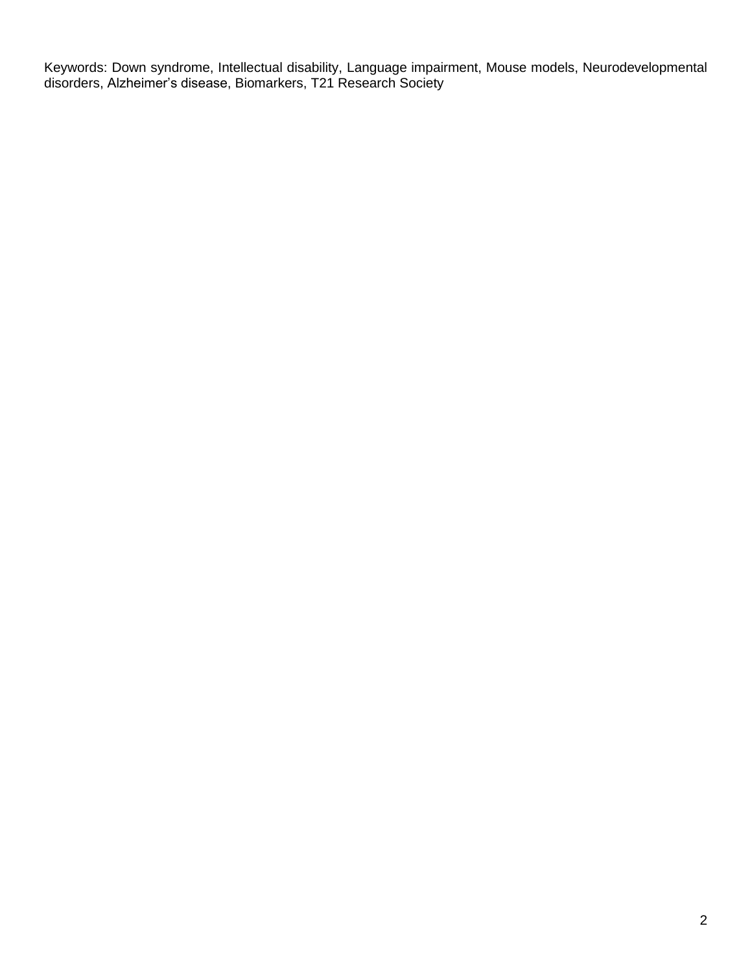Keywords: Down syndrome, Intellectual disability, Language impairment, Mouse models, Neurodevelopmental disorders, Alzheimer's disease, Biomarkers, T21 Research Society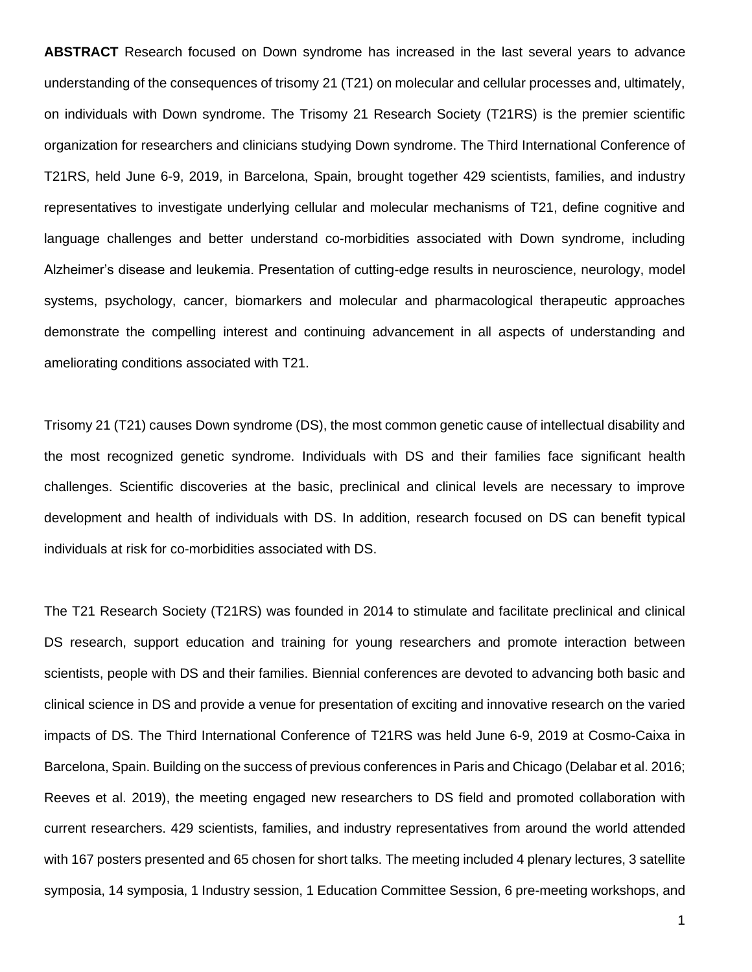**ABSTRACT** Research focused on Down syndrome has increased in the last several years to advance understanding of the consequences of trisomy 21 (T21) on molecular and cellular processes and, ultimately, on individuals with Down syndrome. The Trisomy 21 Research Society (T21RS) is the premier scientific organization for researchers and clinicians studying Down syndrome. The Third International Conference of T21RS, held June 6-9, 2019, in Barcelona, Spain, brought together 429 scientists, families, and industry representatives to investigate underlying cellular and molecular mechanisms of T21, define cognitive and language challenges and better understand co-morbidities associated with Down syndrome, including Alzheimer's disease and leukemia. Presentation of cutting-edge results in neuroscience, neurology, model systems, psychology, cancer, biomarkers and molecular and pharmacological therapeutic approaches demonstrate the compelling interest and continuing advancement in all aspects of understanding and ameliorating conditions associated with T21.

Trisomy 21 (T21) causes Down syndrome (DS), the most common genetic cause of intellectual disability and the most recognized genetic syndrome. Individuals with DS and their families face significant health challenges. Scientific discoveries at the basic, preclinical and clinical levels are necessary to improve development and health of individuals with DS. In addition, research focused on DS can benefit typical individuals at risk for co-morbidities associated with DS.

The T21 Research Society (T21RS) was founded in 2014 to stimulate and facilitate preclinical and clinical DS research, support education and training for young researchers and promote interaction between scientists, people with DS and their families. Biennial conferences are devoted to advancing both basic and clinical science in DS and provide a venue for presentation of exciting and innovative research on the varied impacts of DS. The Third International Conference of T21RS was held June 6-9, 2019 at Cosmo-Caixa in Barcelona, Spain. Building on the success of previous conferences in Paris and Chicago (Delabar et al. 2016; Reeves et al. 2019), the meeting engaged new researchers to DS field and promoted collaboration with current researchers. 429 scientists, families, and industry representatives from around the world attended with 167 posters presented and 65 chosen for short talks. The meeting included 4 plenary lectures, 3 satellite symposia, 14 symposia, 1 Industry session, 1 Education Committee Session, 6 pre-meeting workshops, and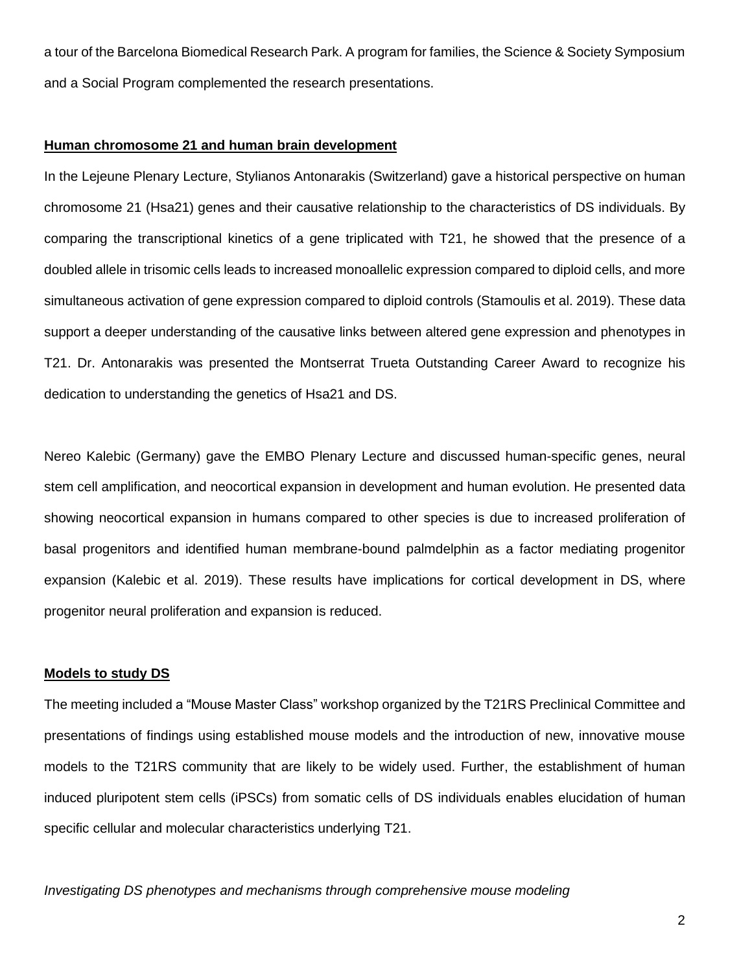a tour of the Barcelona Biomedical Research Park. A program for families, the Science & Society Symposium and a Social Program complemented the research presentations.

## **Human chromosome 21 and human brain development**

In the Lejeune Plenary Lecture, Stylianos Antonarakis (Switzerland) gave a historical perspective on human chromosome 21 (Hsa21) genes and their causative relationship to the characteristics of DS individuals. By comparing the transcriptional kinetics of a gene triplicated with T21, he showed that the presence of a doubled allele in trisomic cells leads to increased monoallelic expression compared to diploid cells, and more simultaneous activation of gene expression compared to diploid controls (Stamoulis et al. 2019). These data support a deeper understanding of the causative links between altered gene expression and phenotypes in T21. Dr. Antonarakis was presented the Montserrat Trueta Outstanding Career Award to recognize his dedication to understanding the genetics of Hsa21 and DS.

Nereo Kalebic (Germany) gave the EMBO Plenary Lecture and discussed human-specific genes, neural stem cell amplification, and neocortical expansion in development and human evolution. He presented data showing neocortical expansion in humans compared to other species is due to increased proliferation of basal progenitors and identified human membrane-bound palmdelphin as a factor mediating progenitor expansion (Kalebic et al. 2019). These results have implications for cortical development in DS, where progenitor neural proliferation and expansion is reduced.

#### **Models to study DS**

The meeting included a "Mouse Master Class" workshop organized by the T21RS Preclinical Committee and presentations of findings using established mouse models and the introduction of new, innovative mouse models to the T21RS community that are likely to be widely used. Further, the establishment of human induced pluripotent stem cells (iPSCs) from somatic cells of DS individuals enables elucidation of human specific cellular and molecular characteristics underlying T21.

*Investigating DS phenotypes and mechanisms through comprehensive mouse modeling*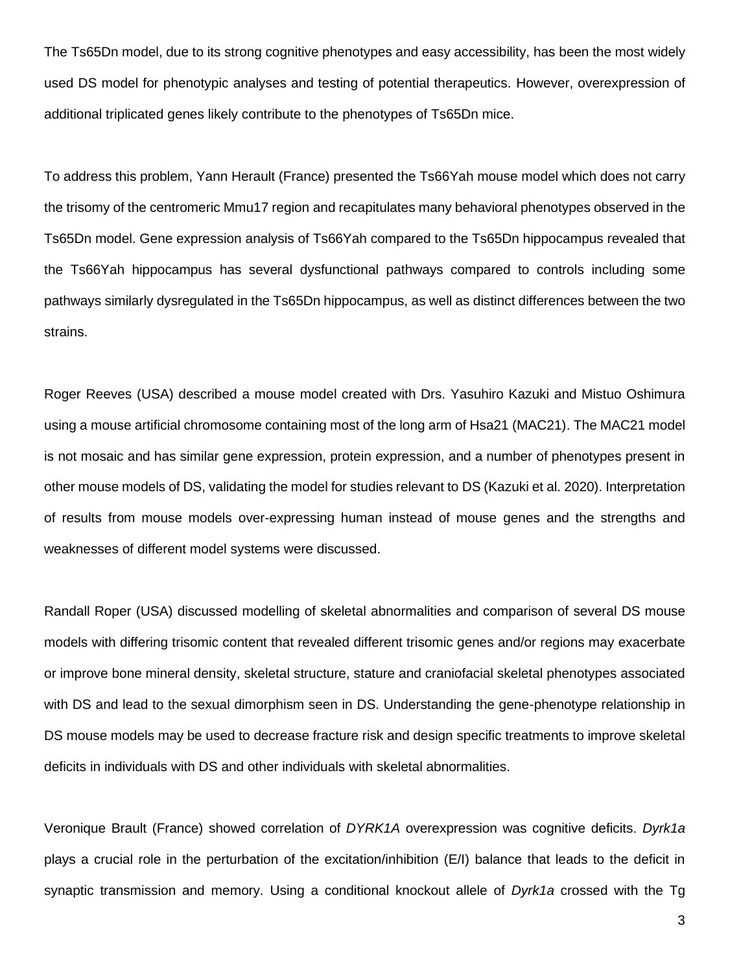The Ts65Dn model, due to its strong cognitive phenotypes and easy accessibility, has been the most widely used DS model for phenotypic analyses and testing of potential therapeutics. However, overexpression of additional triplicated genes likely contribute to the phenotypes of Ts65Dn mice.

To address this problem, Yann Herault (France) presented the Ts66Yah mouse model which does not carry the trisomy of the centromeric Mmu17 region and recapitulates many behavioral phenotypes observed in the Ts65Dn model. Gene expression analysis of Ts66Yah compared to the Ts65Dn hippocampus revealed that the Ts66Yah hippocampus has several dysfunctional pathways compared to controls including some pathways similarly dysregulated in the Ts65Dn hippocampus, as well as distinct differences between the two strains.

Roger Reeves (USA) described a mouse model created with Drs. Yasuhiro Kazuki and Mistuo Oshimura using a mouse artificial chromosome containing most of the long arm of Hsa21 (MAC21). The MAC21 model is not mosaic and has similar gene expression, protein expression, and a number of phenotypes present in other mouse models of DS, validating the model for studies relevant to DS (Kazuki et al. 2020). Interpretation of results from mouse models over-expressing human instead of mouse genes and the strengths and weaknesses of different model systems were discussed.

Randall Roper (USA) discussed modelling of skeletal abnormalities and comparison of several DS mouse models with differing trisomic content that revealed different trisomic genes and/or regions may exacerbate or improve bone mineral density, skeletal structure, stature and craniofacial skeletal phenotypes associated with DS and lead to the sexual dimorphism seen in DS. Understanding the gene-phenotype relationship in DS mouse models may be used to decrease fracture risk and design specific treatments to improve skeletal deficits in individuals with DS and other individuals with skeletal abnormalities.

Veronique Brault (France) showed correlation of *DYRK1A* overexpression was cognitive deficits. *Dyrk1a* plays a crucial role in the perturbation of the excitation/inhibition (E/I) balance that leads to the deficit in synaptic transmission and memory. Using a conditional knockout allele of *Dyrk1a* crossed with the Tg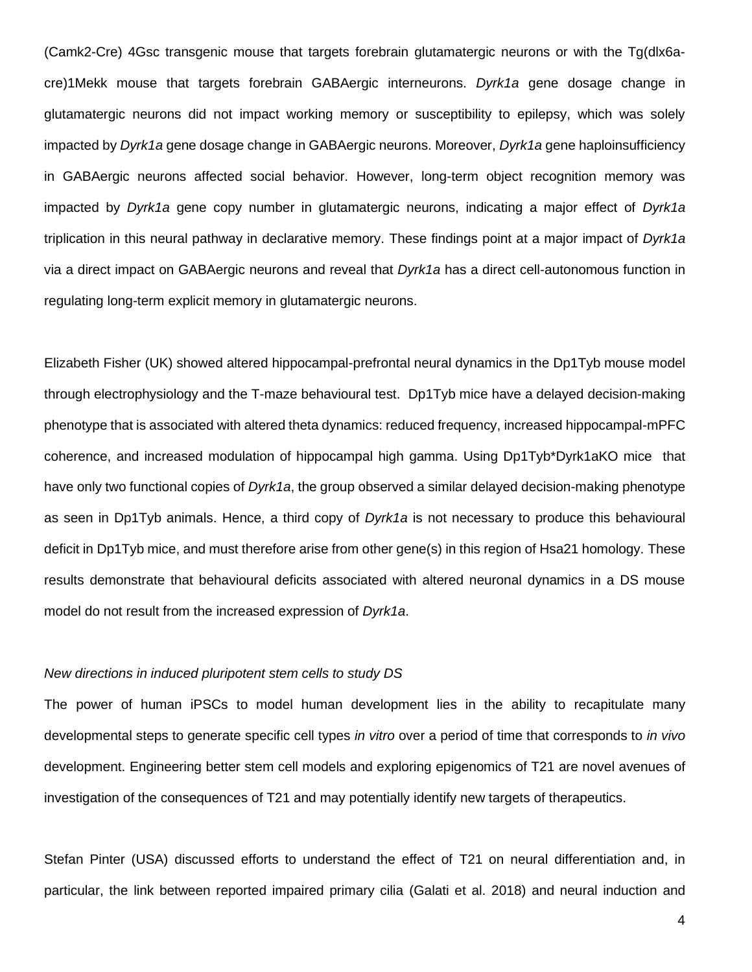(Camk2-Cre) 4Gsc transgenic mouse that targets forebrain glutamatergic neurons or with the Tg(dlx6acre)1Mekk mouse that targets forebrain GABAergic interneurons. *Dyrk1a* gene dosage change in glutamatergic neurons did not impact working memory or susceptibility to epilepsy, which was solely impacted by *Dyrk1a* gene dosage change in GABAergic neurons. Moreover, *Dyrk1a* gene haploinsufficiency in GABAergic neurons affected social behavior. However, long-term object recognition memory was impacted by *Dyrk1a* gene copy number in glutamatergic neurons, indicating a major effect of *Dyrk1a* triplication in this neural pathway in declarative memory. These findings point at a major impact of *Dyrk1a* via a direct impact on GABAergic neurons and reveal that *Dyrk1a* has a direct cell-autonomous function in regulating long-term explicit memory in glutamatergic neurons.

Elizabeth Fisher (UK) showed altered hippocampal-prefrontal neural dynamics in the Dp1Tyb mouse model through electrophysiology and the T-maze behavioural test. Dp1Tyb mice have a delayed decision-making phenotype that is associated with altered theta dynamics: reduced frequency, increased hippocampal-mPFC coherence, and increased modulation of hippocampal high gamma. Using Dp1Tyb\*Dyrk1aKO mice that have only two functional copies of *Dyrk1a*, the group observed a similar delayed decision-making phenotype as seen in Dp1Tyb animals. Hence, a third copy of *Dyrk1a* is not necessary to produce this behavioural deficit in Dp1Tyb mice, and must therefore arise from other gene(s) in this region of Hsa21 homology. These results demonstrate that behavioural deficits associated with altered neuronal dynamics in a DS mouse model do not result from the increased expression of *Dyrk1a*.

#### *New directions in induced pluripotent stem cells to study DS*

The power of human iPSCs to model human development lies in the ability to recapitulate many developmental steps to generate specific cell types *in vitro* over a period of time that corresponds to *in vivo* development. Engineering better stem cell models and exploring epigenomics of T21 are novel avenues of investigation of the consequences of T21 and may potentially identify new targets of therapeutics.

Stefan Pinter (USA) discussed efforts to understand the effect of T21 on neural differentiation and, in particular, the link between reported impaired primary cilia (Galati et al. 2018) and neural induction and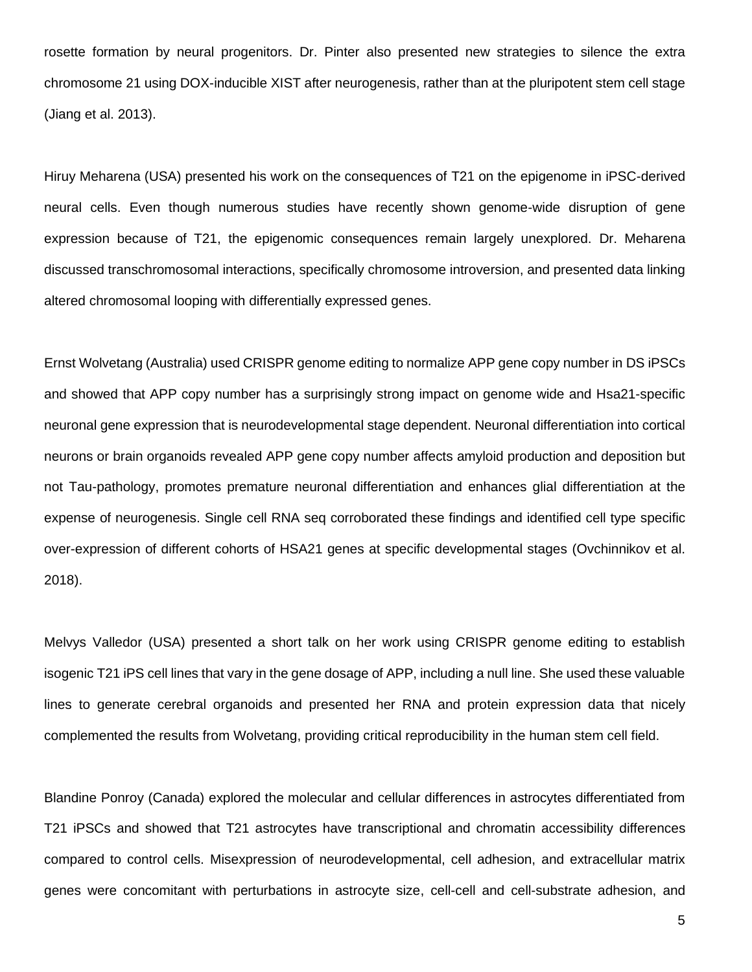rosette formation by neural progenitors. Dr. Pinter also presented new strategies to silence the extra chromosome 21 using DOX-inducible XIST after neurogenesis, rather than at the pluripotent stem cell stage (Jiang et al. 2013).

Hiruy Meharena (USA) presented his work on the consequences of T21 on the epigenome in iPSC-derived neural cells. Even though numerous studies have recently shown genome-wide disruption of gene expression because of T21, the epigenomic consequences remain largely unexplored. Dr. Meharena discussed transchromosomal interactions, specifically chromosome introversion, and presented data linking altered chromosomal looping with differentially expressed genes.

Ernst Wolvetang (Australia) used CRISPR genome editing to normalize APP gene copy number in DS iPSCs and showed that APP copy number has a surprisingly strong impact on genome wide and Hsa21-specific neuronal gene expression that is neurodevelopmental stage dependent. Neuronal differentiation into cortical neurons or brain organoids revealed APP gene copy number affects amyloid production and deposition but not Tau-pathology, promotes premature neuronal differentiation and enhances glial differentiation at the expense of neurogenesis. Single cell RNA seq corroborated these findings and identified cell type specific over-expression of different cohorts of HSA21 genes at specific developmental stages (Ovchinnikov et al. 2018).

Melvys Valledor (USA) presented a short talk on her work using CRISPR genome editing to establish isogenic T21 iPS cell lines that vary in the gene dosage of APP, including a null line. She used these valuable lines to generate cerebral organoids and presented her RNA and protein expression data that nicely complemented the results from Wolvetang, providing critical reproducibility in the human stem cell field.

Blandine Ponroy (Canada) explored the molecular and cellular differences in astrocytes differentiated from T21 iPSCs and showed that T21 astrocytes have transcriptional and chromatin accessibility differences compared to control cells. Misexpression of neurodevelopmental, cell adhesion, and extracellular matrix genes were concomitant with perturbations in astrocyte size, cell-cell and cell-substrate adhesion, and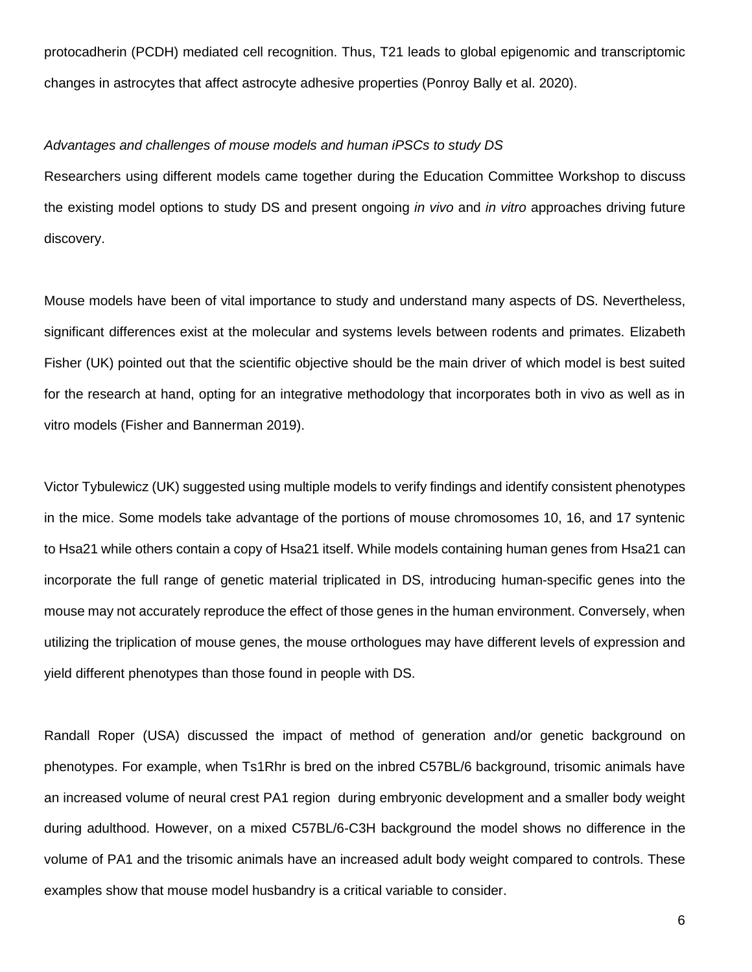protocadherin (PCDH) mediated cell recognition. Thus, T21 leads to global epigenomic and transcriptomic changes in astrocytes that affect astrocyte adhesive properties (Ponroy Bally et al. 2020).

## *Advantages and challenges of mouse models and human iPSCs to study DS*

Researchers using different models came together during the Education Committee Workshop to discuss the existing model options to study DS and present ongoing *in vivo* and *in vitro* approaches driving future discovery.

Mouse models have been of vital importance to study and understand many aspects of DS. Nevertheless, significant differences exist at the molecular and systems levels between rodents and primates. Elizabeth Fisher (UK) pointed out that the scientific objective should be the main driver of which model is best suited for the research at hand, opting for an integrative methodology that incorporates both in vivo as well as in vitro models (Fisher and Bannerman 2019).

Victor Tybulewicz (UK) suggested using multiple models to verify findings and identify consistent phenotypes in the mice. Some models take advantage of the portions of mouse chromosomes 10, 16, and 17 syntenic to Hsa21 while others contain a copy of Hsa21 itself. While models containing human genes from Hsa21 can incorporate the full range of genetic material triplicated in DS, introducing human-specific genes into the mouse may not accurately reproduce the effect of those genes in the human environment. Conversely, when utilizing the triplication of mouse genes, the mouse orthologues may have different levels of expression and yield different phenotypes than those found in people with DS.

Randall Roper (USA) discussed the impact of method of generation and/or genetic background on phenotypes. For example, when Ts1Rhr is bred on the inbred C57BL/6 background, trisomic animals have an increased volume of neural crest PA1 region during embryonic development and a smaller body weight during adulthood. However, on a mixed C57BL/6-C3H background the model shows no difference in the volume of PA1 and the trisomic animals have an increased adult body weight compared to controls. These examples show that mouse model husbandry is a critical variable to consider.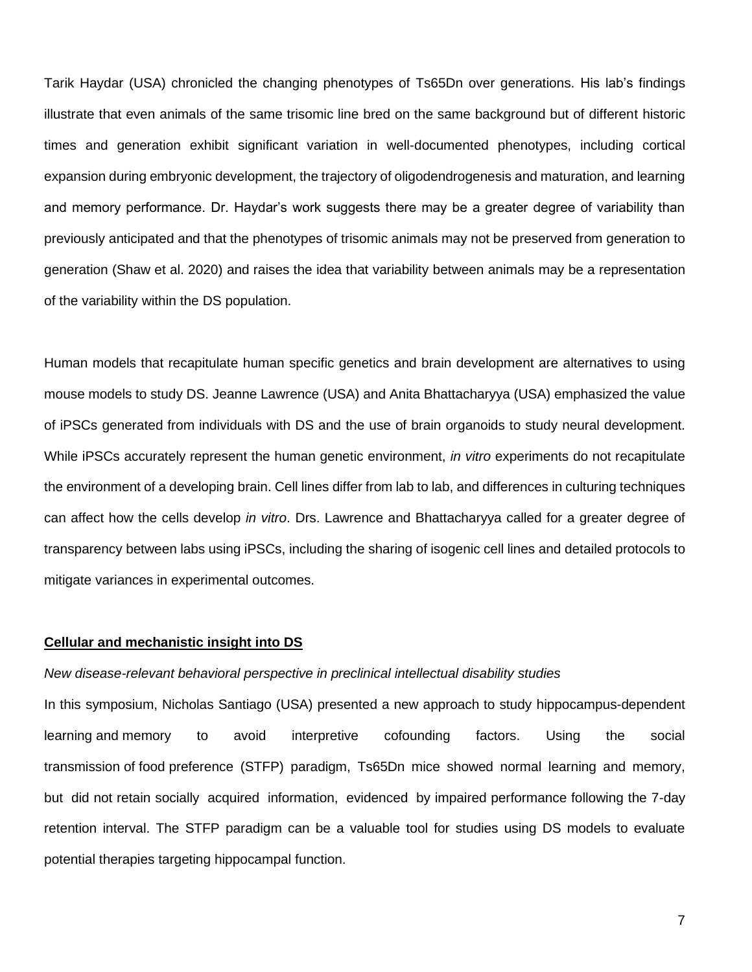Tarik Haydar (USA) chronicled the changing phenotypes of Ts65Dn over generations. His lab's findings illustrate that even animals of the same trisomic line bred on the same background but of different historic times and generation exhibit significant variation in well-documented phenotypes, including cortical expansion during embryonic development, the trajectory of oligodendrogenesis and maturation, and learning and memory performance. Dr. Haydar's work suggests there may be a greater degree of variability than previously anticipated and that the phenotypes of trisomic animals may not be preserved from generation to generation (Shaw et al. 2020) and raises the idea that variability between animals may be a representation of the variability within the DS population.

Human models that recapitulate human specific genetics and brain development are alternatives to using mouse models to study DS. Jeanne Lawrence (USA) and Anita Bhattacharyya (USA) emphasized the value of iPSCs generated from individuals with DS and the use of brain organoids to study neural development. While iPSCs accurately represent the human genetic environment, *in vitro* experiments do not recapitulate the environment of a developing brain. Cell lines differ from lab to lab, and differences in culturing techniques can affect how the cells develop *in vitro*. Drs. Lawrence and Bhattacharyya called for a greater degree of transparency between labs using iPSCs, including the sharing of isogenic cell lines and detailed protocols to mitigate variances in experimental outcomes.

## **Cellular and mechanistic insight into DS**

#### *New disease-relevant behavioral perspective in preclinical intellectual disability studies*

In this symposium, Nicholas Santiago (USA) presented a new approach to study hippocampus-dependent learning and memory to avoid interpretive cofounding factors. Using the social transmission of food preference (STFP) paradigm, Ts65Dn mice showed normal learning and memory, but did not retain socially acquired information, evidenced by impaired performance following the 7-day retention interval. The STFP paradigm can be a valuable tool for studies using DS models to evaluate potential therapies targeting hippocampal function.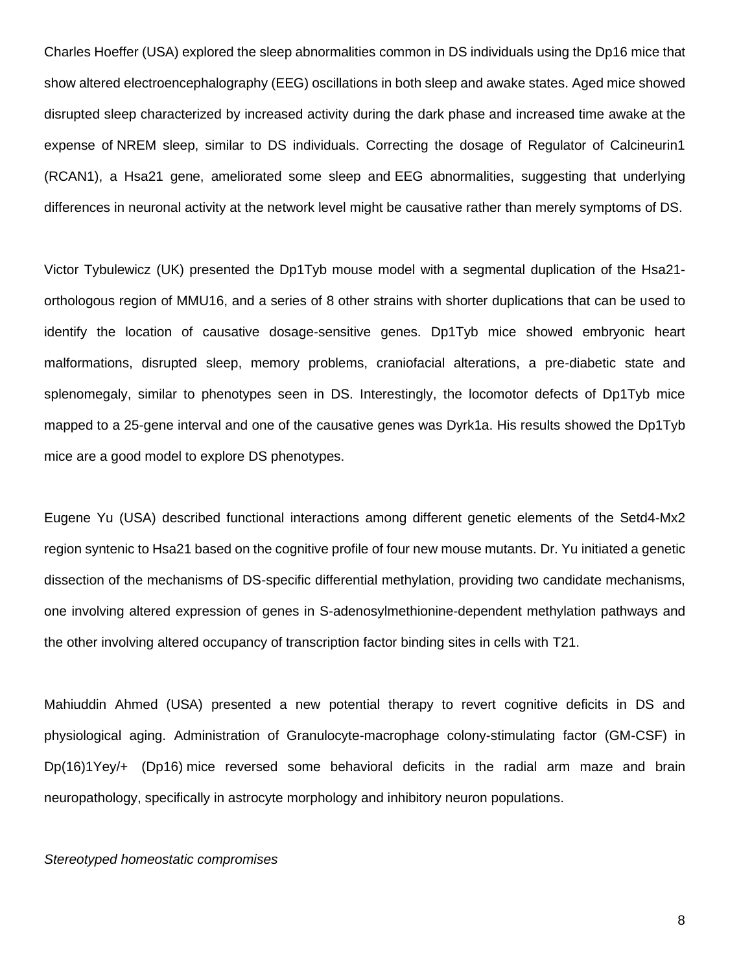Charles Hoeffer (USA) explored the sleep abnormalities common in DS individuals using the Dp16 mice that show altered electroencephalography (EEG) oscillations in both sleep and awake states. Aged mice showed disrupted sleep characterized by increased activity during the dark phase and increased time awake at the expense of NREM sleep, similar to DS individuals. Correcting the dosage of Regulator of Calcineurin1 (RCAN1), a Hsa21 gene, ameliorated some sleep and EEG abnormalities, suggesting that underlying differences in neuronal activity at the network level might be causative rather than merely symptoms of DS.

Victor Tybulewicz (UK) presented the Dp1Tyb mouse model with a segmental duplication of the Hsa21 orthologous region of MMU16, and a series of 8 other strains with shorter duplications that can be used to identify the location of causative dosage-sensitive genes. Dp1Tyb mice showed embryonic heart malformations, disrupted sleep, memory problems, craniofacial alterations, a pre-diabetic state and splenomegaly, similar to phenotypes seen in DS. Interestingly, the locomotor defects of Dp1Tyb mice mapped to a 25-gene interval and one of the causative genes was Dyrk1a. His results showed the Dp1Tyb mice are a good model to explore DS phenotypes.

Eugene Yu (USA) described functional interactions among different genetic elements of the Setd4-Mx2 region syntenic to Hsa21 based on the cognitive profile of four new mouse mutants. Dr. Yu initiated a genetic dissection of the mechanisms of DS-specific differential methylation, providing two candidate mechanisms, one involving altered expression of genes in S-adenosylmethionine-dependent methylation pathways and the other involving altered occupancy of transcription factor binding sites in cells with T21.

Mahiuddin Ahmed (USA) presented a new potential therapy to revert cognitive deficits in DS and physiological aging. Administration of Granulocyte-macrophage colony-stimulating factor (GM-CSF) in Dp(16)1Yey/+ (Dp16) mice reversed some behavioral deficits in the radial arm maze and brain neuropathology, specifically in astrocyte morphology and inhibitory neuron populations.

### *Stereotyped homeostatic compromises*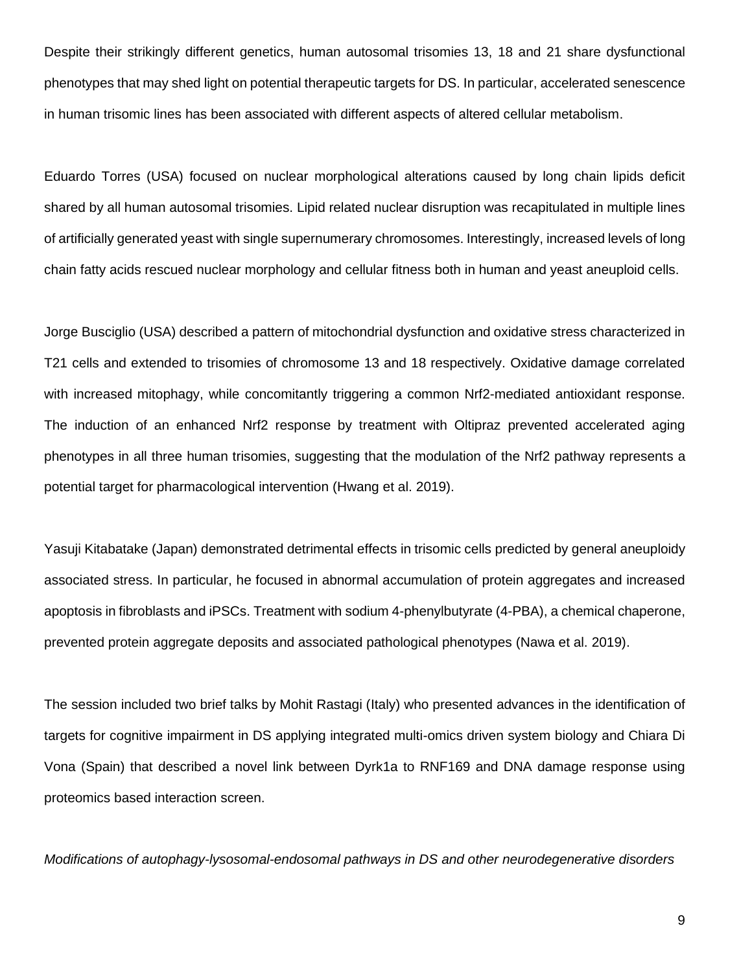Despite their strikingly different genetics, human autosomal trisomies 13, 18 and 21 share dysfunctional phenotypes that may shed light on potential therapeutic targets for DS. In particular, accelerated senescence in human trisomic lines has been associated with different aspects of altered cellular metabolism.

Eduardo Torres (USA) focused on nuclear morphological alterations caused by long chain lipids deficit shared by all human autosomal trisomies. Lipid related nuclear disruption was recapitulated in multiple lines of artificially generated yeast with single supernumerary chromosomes. Interestingly, increased levels of long chain fatty acids rescued nuclear morphology and cellular fitness both in human and yeast aneuploid cells.

Jorge Busciglio (USA) described a pattern of mitochondrial dysfunction and oxidative stress characterized in T21 cells and extended to trisomies of chromosome 13 and 18 respectively. Oxidative damage correlated with increased mitophagy, while concomitantly triggering a common Nrf2-mediated antioxidant response. The induction of an enhanced Nrf2 response by treatment with Oltipraz prevented accelerated aging phenotypes in all three human trisomies, suggesting that the modulation of the Nrf2 pathway represents a potential target for pharmacological intervention (Hwang et al. 2019).

Yasuji Kitabatake (Japan) demonstrated detrimental effects in trisomic cells predicted by general aneuploidy associated stress. In particular, he focused in abnormal accumulation of protein aggregates and increased apoptosis in fibroblasts and iPSCs. Treatment with sodium 4-phenylbutyrate (4-PBA), a chemical chaperone, prevented protein aggregate deposits and associated pathological phenotypes (Nawa et al. 2019).

The session included two brief talks by Mohit Rastagi (Italy) who presented advances in the identification of targets for cognitive impairment in DS applying integrated multi-omics driven system biology and Chiara Di Vona (Spain) that described a novel link between Dyrk1a to RNF169 and DNA damage response using proteomics based interaction screen.

*Modifications of autophagy-lysosomal-endosomal pathways in DS and other neurodegenerative disorders*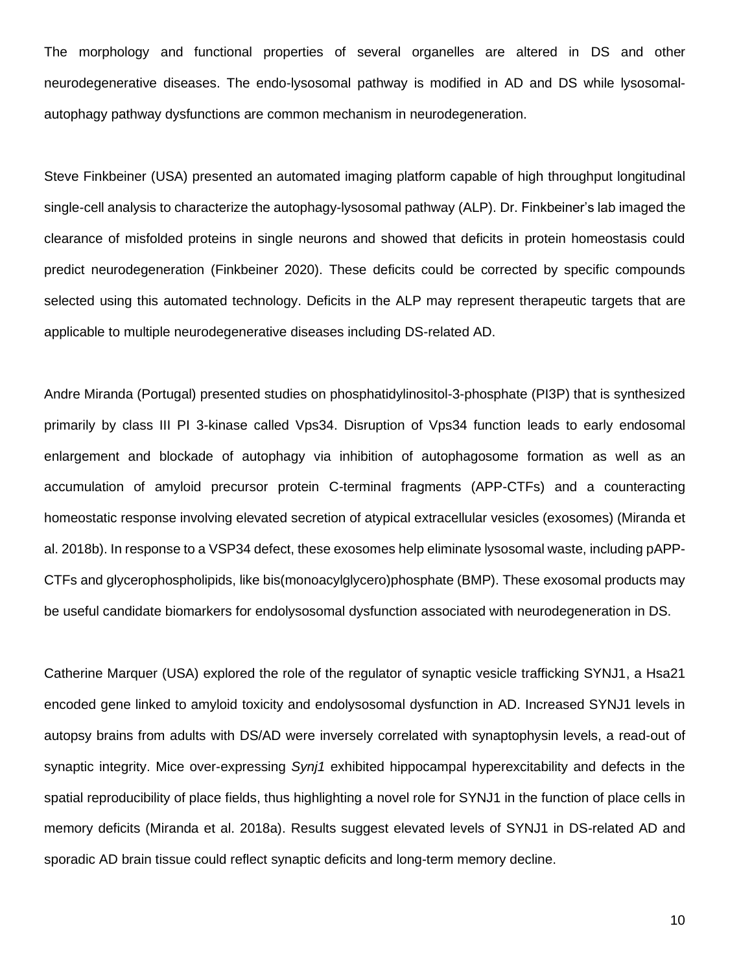The morphology and functional properties of several organelles are altered in DS and other neurodegenerative diseases. The endo-lysosomal pathway is modified in AD and DS while lysosomalautophagy pathway dysfunctions are common mechanism in neurodegeneration.

Steve Finkbeiner (USA) presented an automated imaging platform capable of high throughput longitudinal single-cell analysis to characterize the autophagy-lysosomal pathway (ALP). Dr. Finkbeiner's lab imaged the clearance of misfolded proteins in single neurons and showed that deficits in protein homeostasis could predict neurodegeneration (Finkbeiner 2020). These deficits could be corrected by specific compounds selected using this automated technology. Deficits in the ALP may represent therapeutic targets that are applicable to multiple neurodegenerative diseases including DS-related AD.

Andre Miranda (Portugal) presented studies on phosphatidylinositol-3-phosphate (PI3P) that is synthesized primarily by class III PI 3-kinase called Vps34. Disruption of Vps34 function leads to early endosomal enlargement and blockade of autophagy via inhibition of autophagosome formation as well as an accumulation of amyloid precursor protein C-terminal fragments (APP-CTFs) and a counteracting homeostatic response involving elevated secretion of atypical extracellular vesicles (exosomes) (Miranda et al. 2018b). In response to a VSP34 defect, these exosomes help eliminate lysosomal waste, including pAPP-CTFs and glycerophospholipids, like bis(monoacylglycero)phosphate (BMP). These exosomal products may be useful candidate biomarkers for endolysosomal dysfunction associated with neurodegeneration in DS.

Catherine Marquer (USA) explored the role of the regulator of synaptic vesicle trafficking SYNJ1, a Hsa21 encoded gene linked to amyloid toxicity and endolysosomal dysfunction in AD. Increased SYNJ1 levels in autopsy brains from adults with DS/AD were inversely correlated with synaptophysin levels, a read-out of synaptic integrity. Mice over-expressing *Synj1* exhibited hippocampal hyperexcitability and defects in the spatial reproducibility of place fields, thus highlighting a novel role for SYNJ1 in the function of place cells in memory deficits (Miranda et al. 2018a). Results suggest elevated levels of SYNJ1 in DS-related AD and sporadic AD brain tissue could reflect synaptic deficits and long-term memory decline.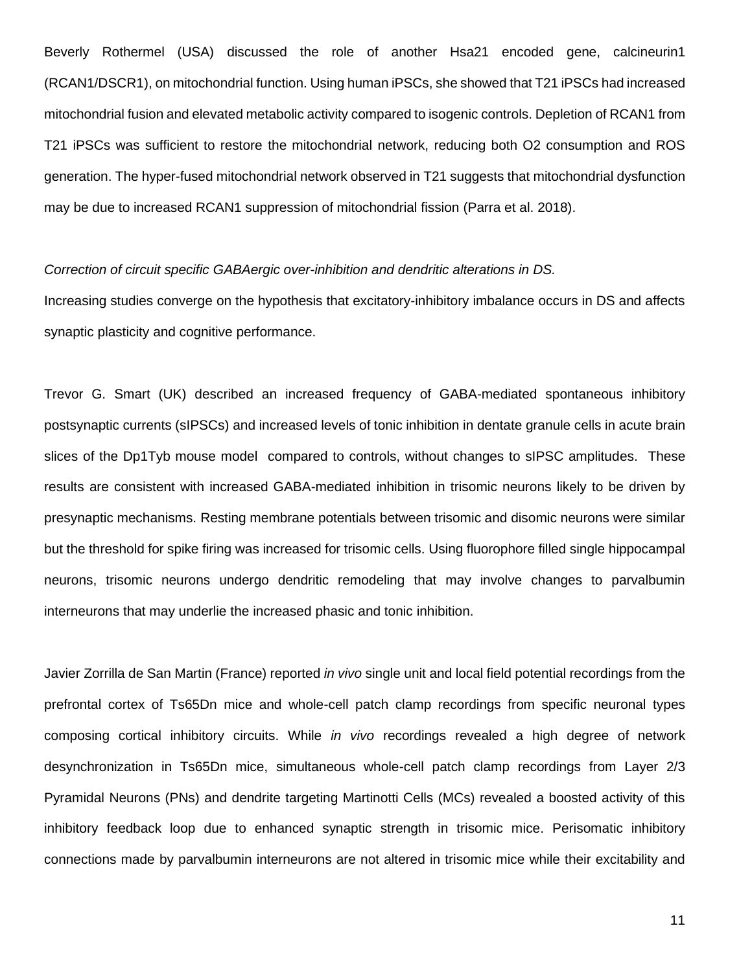Beverly Rothermel (USA) discussed the role of another Hsa21 encoded gene, calcineurin1 (RCAN1/DSCR1), on mitochondrial function. Using human iPSCs, she showed that T21 iPSCs had increased mitochondrial fusion and elevated metabolic activity compared to isogenic controls. Depletion of RCAN1 from T21 iPSCs was sufficient to restore the mitochondrial network, reducing both O2 consumption and ROS generation. The hyper-fused mitochondrial network observed in T21 suggests that mitochondrial dysfunction may be due to increased RCAN1 suppression of mitochondrial fission (Parra et al. 2018).

### *Correction of circuit specific [GABAergic over-inhibition and dendritic alterations in DS.](https://www-ncbi-nlm-nih-gov.gate2.inist.fr/pubmed/28993272)*

Increasing studies converge on the hypothesis that excitatory-inhibitory imbalance occurs in DS and affects synaptic plasticity and cognitive performance.

Trevor G. Smart (UK) described an increased frequency of GABA-mediated spontaneous inhibitory postsynaptic currents (sIPSCs) and increased levels of tonic inhibition in dentate granule cells in acute brain slices of the Dp1Tyb mouse model compared to controls, without changes to sIPSC amplitudes. These results are consistent with increased GABA-mediated inhibition in trisomic neurons likely to be driven by presynaptic mechanisms. Resting membrane potentials between trisomic and disomic neurons were similar but the threshold for spike firing was increased for trisomic cells. Using fluorophore filled single hippocampal neurons, trisomic neurons undergo dendritic remodeling that may involve changes to parvalbumin interneurons that may underlie the increased phasic and tonic inhibition.

Javier Zorrilla de San Martin (France) reported *in vivo* single unit and local field potential recordings from the prefrontal cortex of Ts65Dn mice and whole-cell patch clamp recordings from specific neuronal types composing cortical inhibitory circuits. While *in vivo* recordings revealed a high degree of network desynchronization in Ts65Dn mice, simultaneous whole-cell patch clamp recordings from Layer 2/3 Pyramidal Neurons (PNs) and dendrite targeting Martinotti Cells (MCs) revealed a boosted activity of this inhibitory feedback loop due to enhanced synaptic strength in trisomic mice. Perisomatic inhibitory connections made by parvalbumin interneurons are not altered in trisomic mice while their excitability and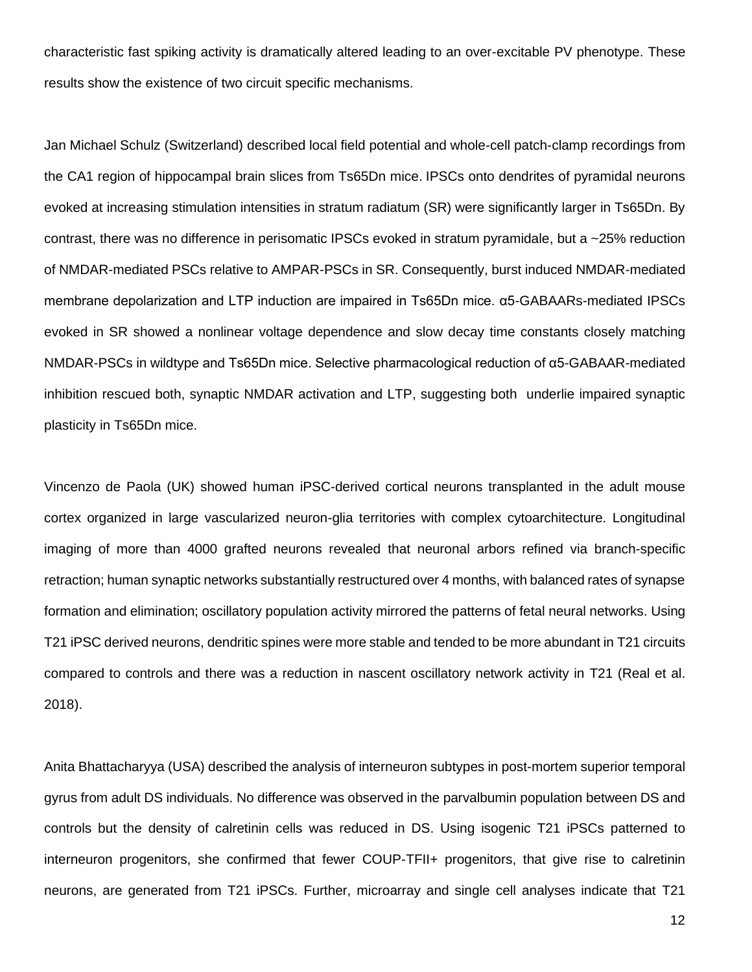characteristic fast spiking activity is dramatically altered leading to an over-excitable PV phenotype. These results show the existence of two circuit specific mechanisms.

Jan Michael Schulz (Switzerland) described local field potential and whole-cell patch-clamp recordings from the CA1 region of hippocampal brain slices from Ts65Dn mice. IPSCs onto dendrites of pyramidal neurons evoked at increasing stimulation intensities in stratum radiatum (SR) were significantly larger in Ts65Dn. By contrast, there was no difference in perisomatic IPSCs evoked in stratum pyramidale, but a ~25% reduction of NMDAR-mediated PSCs relative to AMPAR-PSCs in SR. Consequently, burst induced NMDAR-mediated membrane depolarization and LTP induction are impaired in Ts65Dn mice. α5-GABAARs-mediated IPSCs evoked in SR showed a nonlinear voltage dependence and slow decay time constants closely matching NMDAR-PSCs in wildtype and Ts65Dn mice. Selective pharmacological reduction of α5-GABAAR-mediated inhibition rescued both, synaptic NMDAR activation and LTP, suggesting both underlie impaired synaptic plasticity in Ts65Dn mice.

Vincenzo de Paola (UK) showed human iPSC-derived cortical neurons transplanted in the adult mouse cortex organized in large vascularized neuron-glia territories with complex cytoarchitecture. Longitudinal imaging of more than 4000 grafted neurons revealed that neuronal arbors refined via branch-specific retraction; human synaptic networks substantially restructured over 4 months, with balanced rates of synapse formation and elimination; oscillatory population activity mirrored the patterns of fetal neural networks. Using T21 iPSC derived neurons, dendritic spines were more stable and tended to be more abundant in T21 circuits compared to controls and there was a reduction in nascent oscillatory network activity in T21 (Real et al. 2018).

Anita Bhattacharyya (USA) described the analysis of interneuron subtypes in post-mortem superior temporal gyrus from adult DS individuals. No difference was observed in the parvalbumin population between DS and controls but the density of calretinin cells was reduced in DS. Using isogenic T21 iPSCs patterned to interneuron progenitors, she confirmed that fewer COUP-TFII+ progenitors, that give rise to calretinin neurons, are generated from T21 iPSCs. Further, microarray and single cell analyses indicate that T21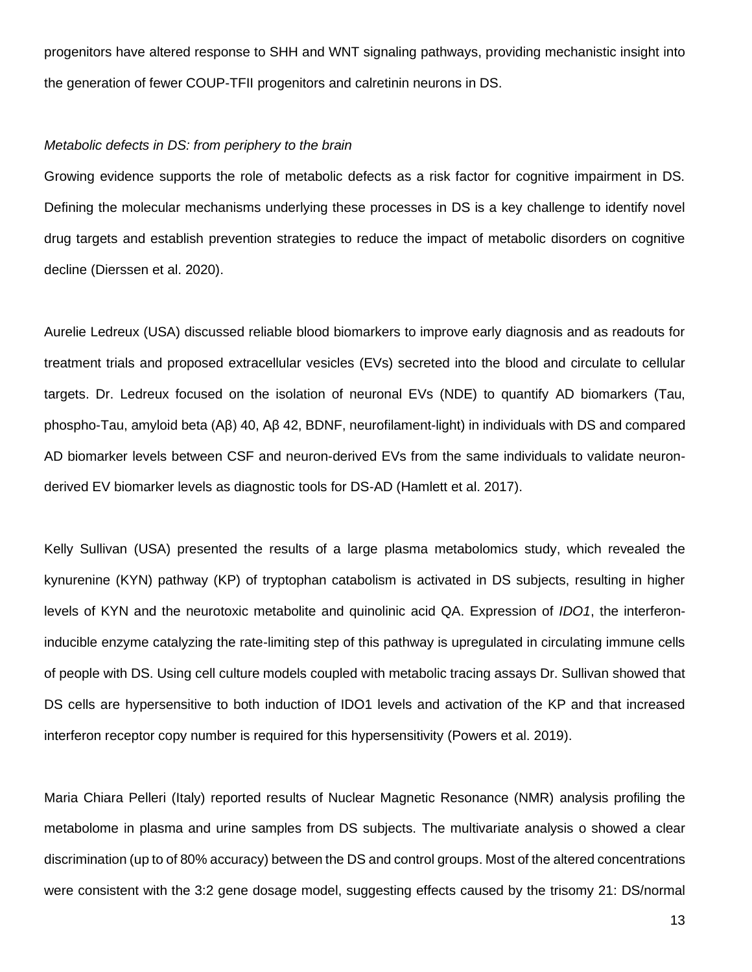progenitors have altered response to SHH and WNT signaling pathways, providing mechanistic insight into the generation of fewer COUP-TFII progenitors and calretinin neurons in DS.

#### *Metabolic defects in DS: from periphery to the brain*

Growing evidence supports the role of metabolic defects as a risk factor for cognitive impairment in DS. Defining the molecular mechanisms underlying these processes in DS is a key challenge to identify novel drug targets and establish prevention strategies to reduce the impact of metabolic disorders on cognitive decline (Dierssen et al. 2020).

Aurelie Ledreux (USA) discussed reliable blood biomarkers to improve early diagnosis and as readouts for treatment trials and proposed extracellular vesicles (EVs) secreted into the blood and circulate to cellular targets. Dr. Ledreux focused on the isolation of neuronal EVs (NDE) to quantify AD biomarkers (Tau, phospho-Tau, amyloid beta (Aβ) 40, Aβ 42, BDNF, neurofilament-light) in individuals with DS and compared AD biomarker levels between CSF and neuron-derived EVs from the same individuals to validate neuronderived EV biomarker levels as diagnostic tools for DS-AD (Hamlett et al. 2017).

Kelly Sullivan (USA) presented the results of a large plasma metabolomics study, which revealed the kynurenine (KYN) pathway (KP) of tryptophan catabolism is activated in DS subjects, resulting in higher levels of KYN and the neurotoxic metabolite and quinolinic acid QA. Expression of *IDO1*, the interferoninducible enzyme catalyzing the rate-limiting step of this pathway is upregulated in circulating immune cells of people with DS. Using cell culture models coupled with metabolic tracing assays Dr. Sullivan showed that DS cells are hypersensitive to both induction of IDO1 levels and activation of the KP and that increased interferon receptor copy number is required for this hypersensitivity (Powers et al. 2019).

Maria Chiara Pelleri (Italy) reported results of Nuclear Magnetic Resonance (NMR) analysis profiling the metabolome in plasma and urine samples from DS subjects. The multivariate analysis o showed a clear discrimination (up to of 80% accuracy) between the DS and control groups. Most of the altered concentrations were consistent with the 3:2 gene dosage model, suggesting effects caused by the trisomy 21: DS/normal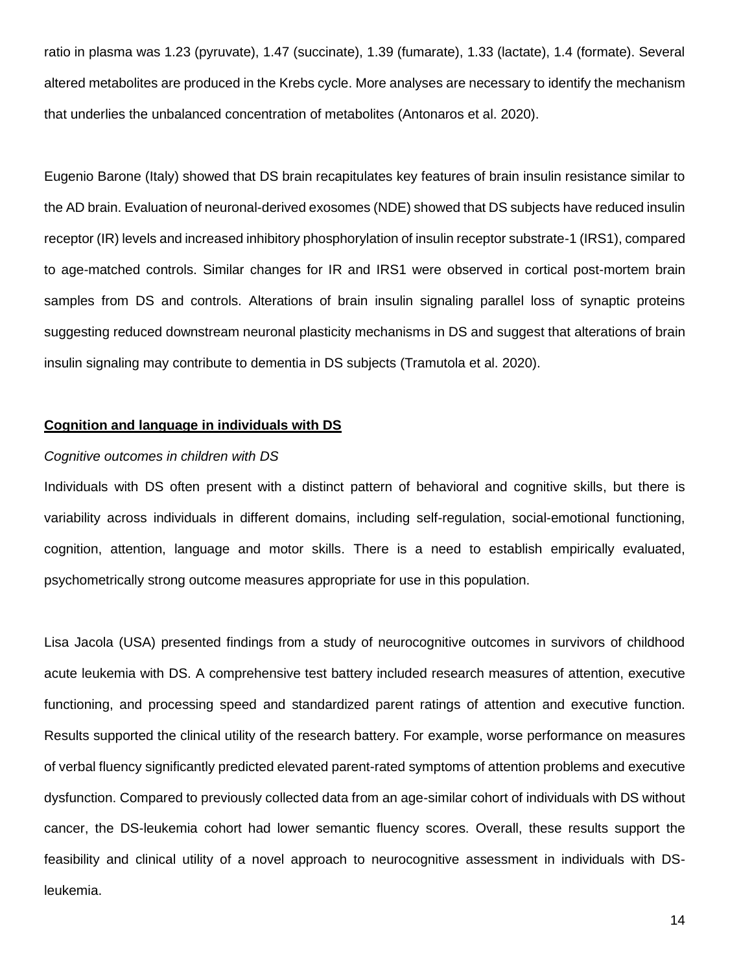ratio in plasma was 1.23 (pyruvate), 1.47 (succinate), 1.39 (fumarate), 1.33 (lactate), 1.4 (formate). Several altered metabolites are produced in the Krebs cycle. More analyses are necessary to identify the mechanism that underlies the unbalanced concentration of metabolites (Antonaros et al. 2020).

Eugenio Barone (Italy) showed that DS brain recapitulates key features of brain insulin resistance similar to the AD brain. Evaluation of neuronal-derived exosomes (NDE) showed that DS subjects have reduced insulin receptor (IR) levels and increased inhibitory phosphorylation of insulin receptor substrate-1 (IRS1), compared to age-matched controls. Similar changes for IR and IRS1 were observed in cortical post-mortem brain samples from DS and controls. Alterations of brain insulin signaling parallel loss of synaptic proteins suggesting reduced downstream neuronal plasticity mechanisms in DS and suggest that alterations of brain insulin signaling may contribute to dementia in DS subjects (Tramutola et al. 2020).

# **Cognition and language in individuals with DS**

#### *Cognitive outcomes in children with DS*

Individuals with DS often present with a distinct pattern of behavioral and cognitive skills, but there is variability across individuals in different domains, including self-regulation, social-emotional functioning, cognition, attention, language and motor skills. There is a need to establish empirically evaluated, psychometrically strong outcome measures appropriate for use in this population.

Lisa Jacola (USA) presented findings from a study of neurocognitive outcomes in survivors of childhood acute leukemia with DS. A comprehensive test battery included research measures of attention, executive functioning, and processing speed and standardized parent ratings of attention and executive function. Results supported the clinical utility of the research battery. For example, worse performance on measures of verbal fluency significantly predicted elevated parent-rated symptoms of attention problems and executive dysfunction. Compared to previously collected data from an age-similar cohort of individuals with DS without cancer, the DS-leukemia cohort had lower semantic fluency scores. Overall, these results support the feasibility and clinical utility of a novel approach to neurocognitive assessment in individuals with DSleukemia.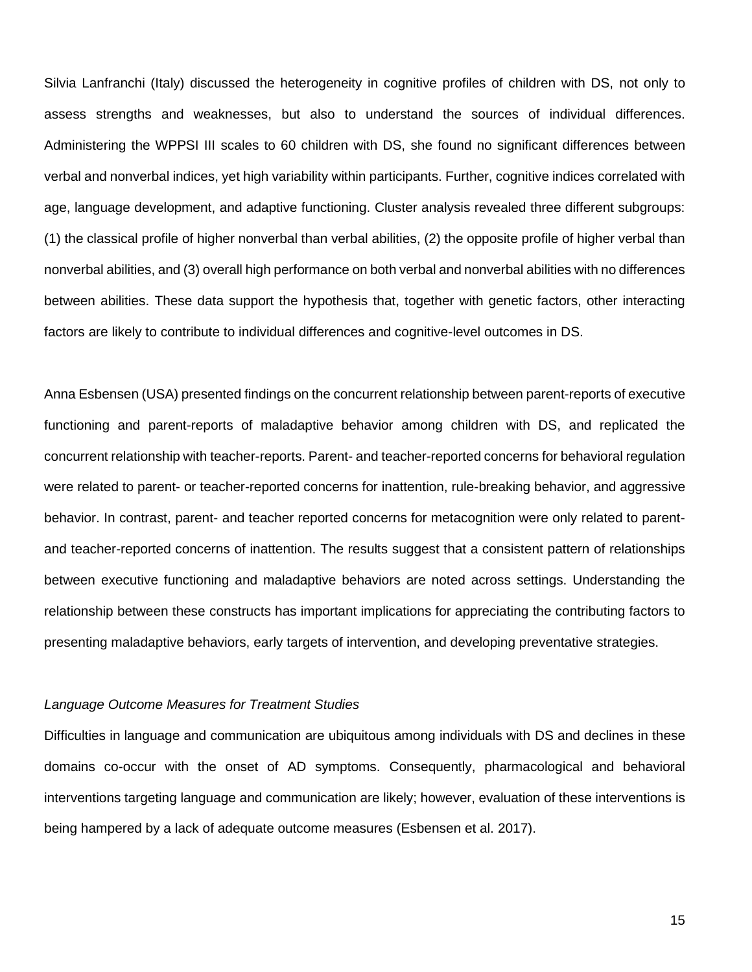Silvia Lanfranchi (Italy) discussed the heterogeneity in cognitive profiles of children with DS, not only to assess strengths and weaknesses, but also to understand the sources of individual differences. Administering the WPPSI III scales to 60 children with DS, she found no significant differences between verbal and nonverbal indices, yet high variability within participants. Further, cognitive indices correlated with age, language development, and adaptive functioning. Cluster analysis revealed three different subgroups: (1) the classical profile of higher nonverbal than verbal abilities, (2) the opposite profile of higher verbal than nonverbal abilities, and (3) overall high performance on both verbal and nonverbal abilities with no differences between abilities. These data support the hypothesis that, together with genetic factors, other interacting factors are likely to contribute to individual differences and cognitive-level outcomes in DS.

Anna Esbensen (USA) presented findings on the concurrent relationship between parent-reports of executive functioning and parent-reports of maladaptive behavior among children with DS, and replicated the concurrent relationship with teacher-reports. Parent- and teacher-reported concerns for behavioral regulation were related to parent- or teacher-reported concerns for inattention, rule-breaking behavior, and aggressive behavior. In contrast, parent- and teacher reported concerns for metacognition were only related to parentand teacher-reported concerns of inattention. The results suggest that a consistent pattern of relationships between executive functioning and maladaptive behaviors are noted across settings. Understanding the relationship between these constructs has important implications for appreciating the contributing factors to presenting maladaptive behaviors, early targets of intervention, and developing preventative strategies.

#### *Language Outcome Measures for Treatment Studies*

Difficulties in language and communication are ubiquitous among individuals with DS and declines in these domains co-occur with the onset of AD symptoms. Consequently, pharmacological and behavioral interventions targeting language and communication are likely; however, evaluation of these interventions is being hampered by a lack of adequate outcome measures (Esbensen et al. 2017).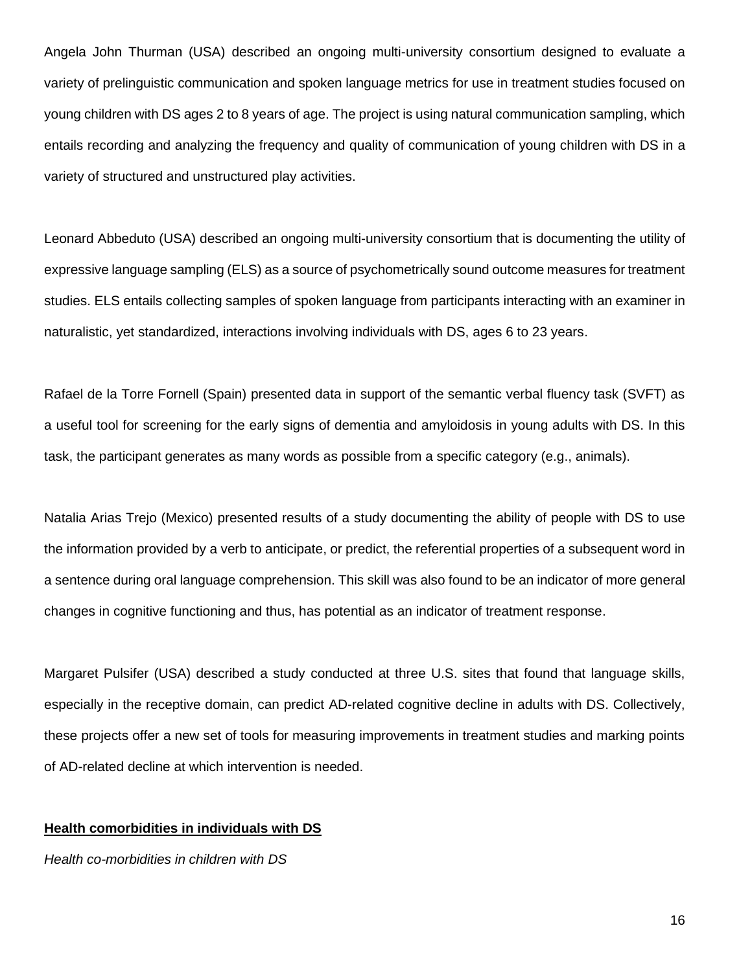Angela John Thurman (USA) described an ongoing multi-university consortium designed to evaluate a variety of prelinguistic communication and spoken language metrics for use in treatment studies focused on young children with DS ages 2 to 8 years of age. The project is using natural communication sampling, which entails recording and analyzing the frequency and quality of communication of young children with DS in a variety of structured and unstructured play activities.

Leonard Abbeduto (USA) described an ongoing multi-university consortium that is documenting the utility of expressive language sampling (ELS) as a source of psychometrically sound outcome measures for treatment studies. ELS entails collecting samples of spoken language from participants interacting with an examiner in naturalistic, yet standardized, interactions involving individuals with DS, ages 6 to 23 years.

Rafael de la Torre Fornell (Spain) presented data in support of the semantic verbal fluency task (SVFT) as a useful tool for screening for the early signs of dementia and amyloidosis in young adults with DS. In this task, the participant generates as many words as possible from a specific category (e.g., animals).

Natalia Arias Trejo (Mexico) presented results of a study documenting the ability of people with DS to use the information provided by a verb to anticipate, or predict, the referential properties of a subsequent word in a sentence during oral language comprehension. This skill was also found to be an indicator of more general changes in cognitive functioning and thus, has potential as an indicator of treatment response.

Margaret Pulsifer (USA) described a study conducted at three U.S. sites that found that language skills, especially in the receptive domain, can predict AD-related cognitive decline in adults with DS. Collectively, these projects offer a new set of tools for measuring improvements in treatment studies and marking points of AD-related decline at which intervention is needed.

#### **Health comorbidities in individuals with DS**

*Health co-morbidities in children with DS*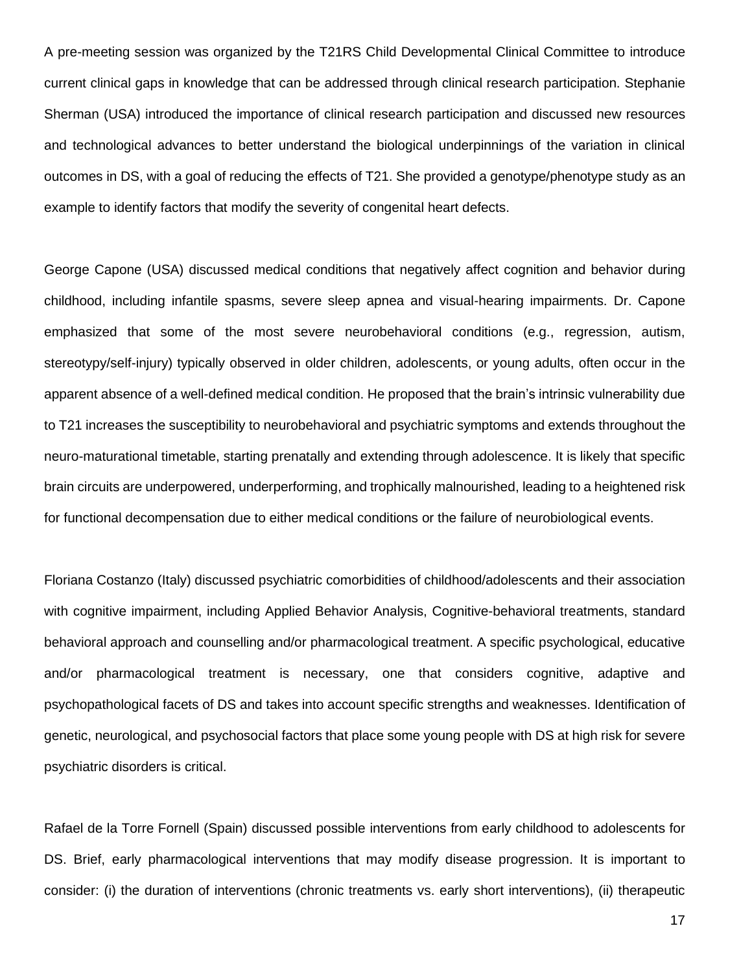A pre-meeting session was organized by the T21RS Child Developmental Clinical Committee to introduce current clinical gaps in knowledge that can be addressed through clinical research participation. Stephanie Sherman (USA) introduced the importance of clinical research participation and discussed new resources and technological advances to better understand the biological underpinnings of the variation in clinical outcomes in DS, with a goal of reducing the effects of T21. She provided a genotype/phenotype study as an example to identify factors that modify the severity of congenital heart defects.

George Capone (USA) discussed medical conditions that negatively affect cognition and behavior during childhood, including infantile spasms, severe sleep apnea and visual-hearing impairments. Dr. Capone emphasized that some of the most severe neurobehavioral conditions (e.g., regression, autism, stereotypy/self-injury) typically observed in older children, adolescents, or young adults, often occur in the apparent absence of a well-defined medical condition. He proposed that the brain's intrinsic vulnerability due to T21 increases the susceptibility to neurobehavioral and psychiatric symptoms and extends throughout the neuro-maturational timetable, starting prenatally and extending through adolescence. It is likely that specific brain circuits are underpowered, underperforming, and trophically malnourished, leading to a heightened risk for functional decompensation due to either medical conditions or the failure of neurobiological events.

Floriana Costanzo (Italy) discussed psychiatric comorbidities of childhood/adolescents and their association with cognitive impairment, including Applied Behavior Analysis, Cognitive-behavioral treatments, standard behavioral approach and counselling and/or pharmacological treatment. A specific psychological, educative and/or pharmacological treatment is necessary, one that considers cognitive, adaptive and psychopathological facets of DS and takes into account specific strengths and weaknesses. Identification of genetic, neurological, and psychosocial factors that place some young people with DS at high risk for severe psychiatric disorders is critical.

Rafael de la Torre Fornell (Spain) discussed possible interventions from early childhood to adolescents for DS. Brief, early pharmacological interventions that may modify disease progression. It is important to consider: (i) the duration of interventions (chronic treatments vs. early short interventions), (ii) therapeutic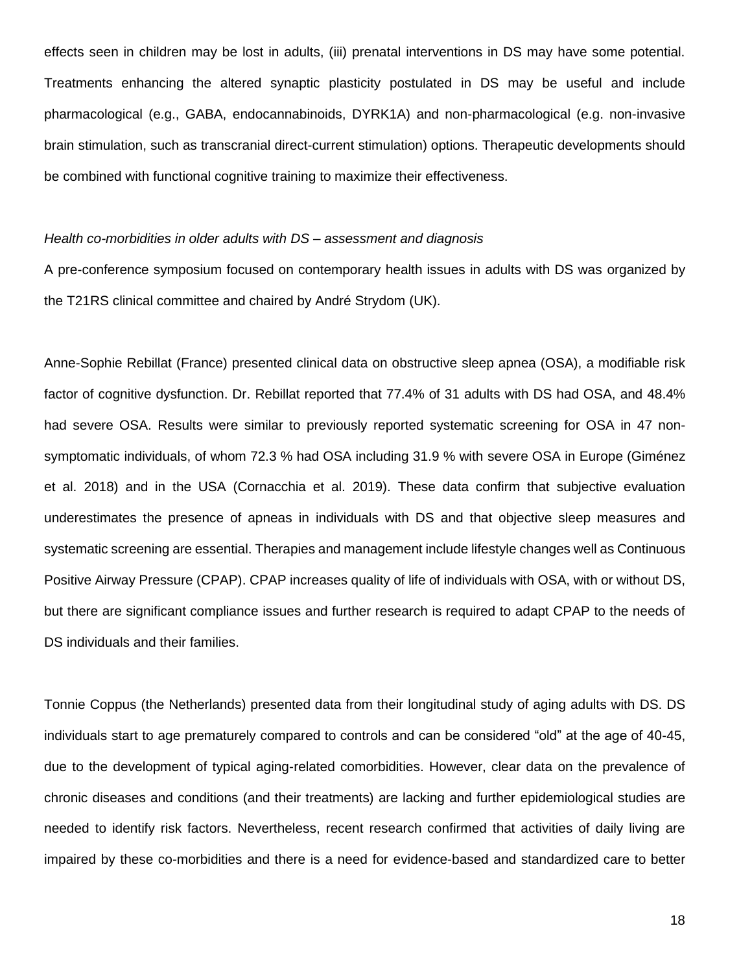effects seen in children may be lost in adults, (iii) prenatal interventions in DS may have some potential. Treatments enhancing the altered synaptic plasticity postulated in DS may be useful and include pharmacological (e.g., GABA, endocannabinoids, DYRK1A) and non-pharmacological (e.g. non-invasive brain stimulation, such as transcranial direct-current stimulation) options. Therapeutic developments should be combined with functional cognitive training to maximize their effectiveness.

### *Health co-morbidities in older adults with DS – assessment and diagnosis*

A pre-conference symposium focused on contemporary health issues in adults with DS was organized by the T21RS clinical committee and chaired by André Strydom (UK).

Anne-Sophie Rebillat (France) presented clinical data on obstructive sleep apnea (OSA), a modifiable risk factor of cognitive dysfunction. Dr. Rebillat reported that 77.4% of 31 adults with DS had OSA, and 48.4% had severe OSA. Results were similar to previously reported systematic screening for OSA in 47 nonsymptomatic individuals, of whom 72.3 % had OSA including 31.9 % with severe OSA in Europe (Giménez et al. 2018) and in the USA (Cornacchia et al. 2019). These data confirm that subjective evaluation underestimates the presence of apneas in individuals with DS and that objective sleep measures and systematic screening are essential. Therapies and management include lifestyle changes well as Continuous Positive Airway Pressure (CPAP). CPAP increases quality of life of individuals with OSA, with or without DS, but there are significant compliance issues and further research is required to adapt CPAP to the needs of DS individuals and their families.

Tonnie Coppus (the Netherlands) presented data from their longitudinal study of aging adults with DS. DS individuals start to age prematurely compared to controls and can be considered "old" at the age of 40-45, due to the development of typical aging-related comorbidities. However, clear data on the prevalence of chronic diseases and conditions (and their treatments) are lacking and further epidemiological studies are needed to identify risk factors. Nevertheless, recent research confirmed that activities of daily living are impaired by these co-morbidities and there is a need for evidence-based and standardized care to better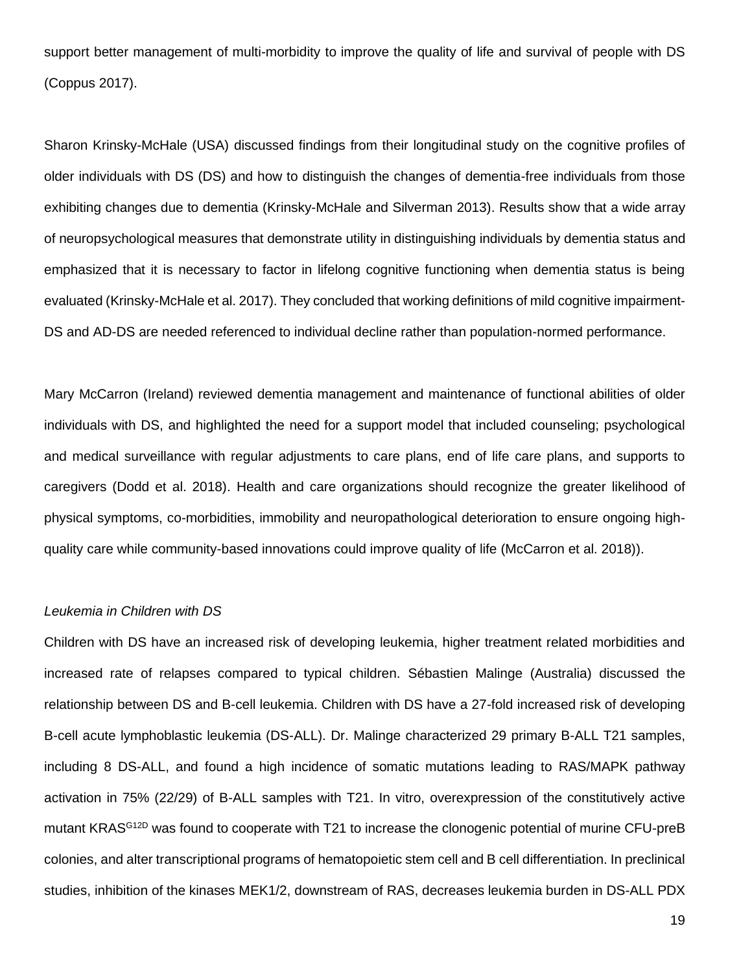support better management of multi-morbidity to improve the quality of life and survival of people with DS (Coppus 2017).

Sharon Krinsky-McHale (USA) discussed findings from their longitudinal study on the cognitive profiles of older individuals with DS (DS) and how to distinguish the changes of dementia-free individuals from those exhibiting changes due to dementia (Krinsky-McHale and Silverman 2013). Results show that a wide array of neuropsychological measures that demonstrate utility in distinguishing individuals by dementia status and emphasized that it is necessary to factor in lifelong cognitive functioning when dementia status is being evaluated (Krinsky-McHale et al. 2017). They concluded that working definitions of mild cognitive impairment-DS and AD-DS are needed referenced to individual decline rather than population-normed performance.

Mary McCarron (Ireland) reviewed dementia management and maintenance of functional abilities of older individuals with DS, and highlighted the need for a support model that included counseling; psychological and medical surveillance with regular adjustments to care plans, end of life care plans, and supports to caregivers (Dodd et al. 2018). Health and care organizations should recognize the greater likelihood of physical symptoms, co-morbidities, immobility and neuropathological deterioration to ensure ongoing highquality care while community-based innovations could improve quality of life (McCarron et al. 2018)).

## *Leukemia in Children with DS*

Children with DS have an increased risk of developing leukemia, higher treatment related morbidities and increased rate of relapses compared to typical children. Sébastien Malinge (Australia) discussed the relationship between DS and B-cell leukemia. Children with DS have a 27-fold increased risk of developing B-cell acute lymphoblastic leukemia (DS-ALL). Dr. Malinge characterized 29 primary B-ALL T21 samples, including 8 DS-ALL, and found a high incidence of somatic mutations leading to RAS/MAPK pathway activation in 75% (22/29) of B-ALL samples with T21. In vitro, overexpression of the constitutively active mutant KRAS<sup>G12D</sup> was found to cooperate with T21 to increase the clonogenic potential of murine CFU-preB colonies, and alter transcriptional programs of hematopoietic stem cell and B cell differentiation. In preclinical studies, inhibition of the kinases MEK1/2, downstream of RAS, decreases leukemia burden in DS-ALL PDX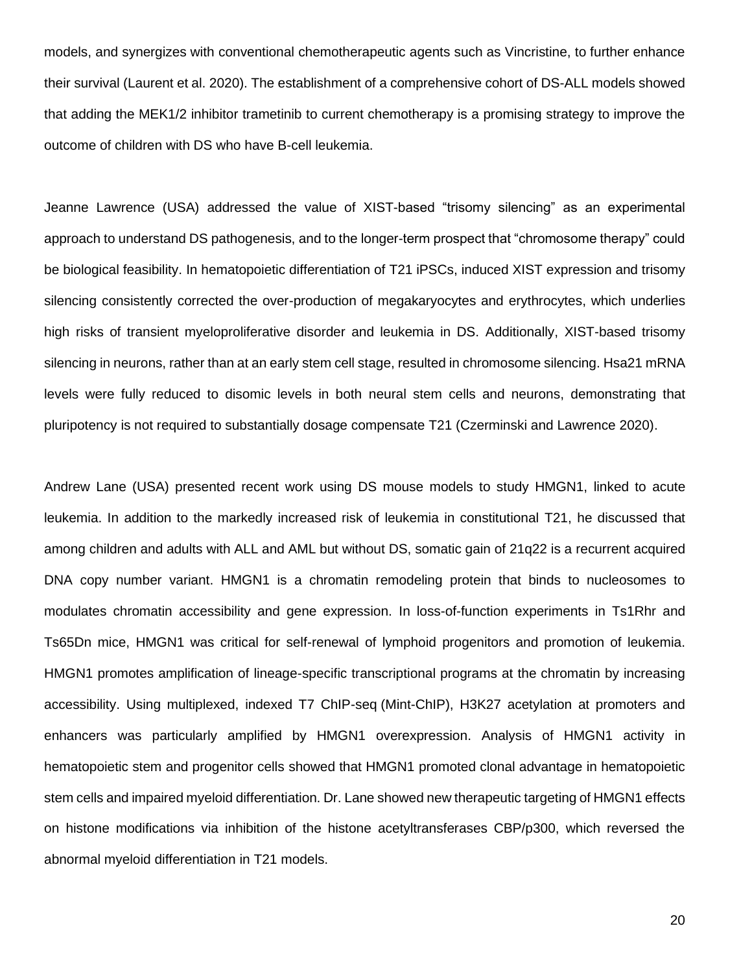models, and synergizes with conventional chemotherapeutic agents such as Vincristine, to further enhance their survival (Laurent et al. 2020). The establishment of a comprehensive cohort of DS-ALL models showed that adding the MEK1/2 inhibitor trametinib to current chemotherapy is a promising strategy to improve the outcome of children with DS who have B-cell leukemia.

Jeanne Lawrence (USA) addressed the value of XIST-based "trisomy silencing" as an experimental approach to understand DS pathogenesis, and to the longer-term prospect that "chromosome therapy" could be biological feasibility. In hematopoietic differentiation of T21 iPSCs, induced XIST expression and trisomy silencing consistently corrected the over-production of megakaryocytes and erythrocytes, which underlies high risks of transient myeloproliferative disorder and leukemia in DS. Additionally, XIST-based trisomy silencing in neurons, rather than at an early stem cell stage, resulted in chromosome silencing. Hsa21 mRNA levels were fully reduced to disomic levels in both neural stem cells and neurons, demonstrating that pluripotency is not required to substantially dosage compensate T21 (Czerminski and Lawrence 2020).

Andrew Lane (USA) presented recent work using DS mouse models to study HMGN1, linked to acute leukemia. In addition to the markedly increased risk of leukemia in constitutional T21, he discussed that among children and adults with ALL and AML but without DS, somatic gain of 21q22 is a recurrent acquired DNA copy number variant. HMGN1 is a chromatin remodeling protein that binds to nucleosomes to modulates chromatin accessibility and gene expression. In loss-of-function experiments in Ts1Rhr and Ts65Dn mice, HMGN1 was critical for self-renewal of lymphoid progenitors and promotion of leukemia. HMGN1 promotes amplification of lineage-specific transcriptional programs at the chromatin by increasing accessibility. Using multiplexed, indexed T7 ChIP-seq (Mint-ChIP), H3K27 acetylation at promoters and enhancers was particularly amplified by HMGN1 overexpression. Analysis of HMGN1 activity in hematopoietic stem and progenitor cells showed that HMGN1 promoted clonal advantage in hematopoietic stem cells and impaired myeloid differentiation. Dr. Lane showed new therapeutic targeting of HMGN1 effects on histone modifications via inhibition of the histone acetyltransferases CBP/p300, which reversed the abnormal myeloid differentiation in T21 models.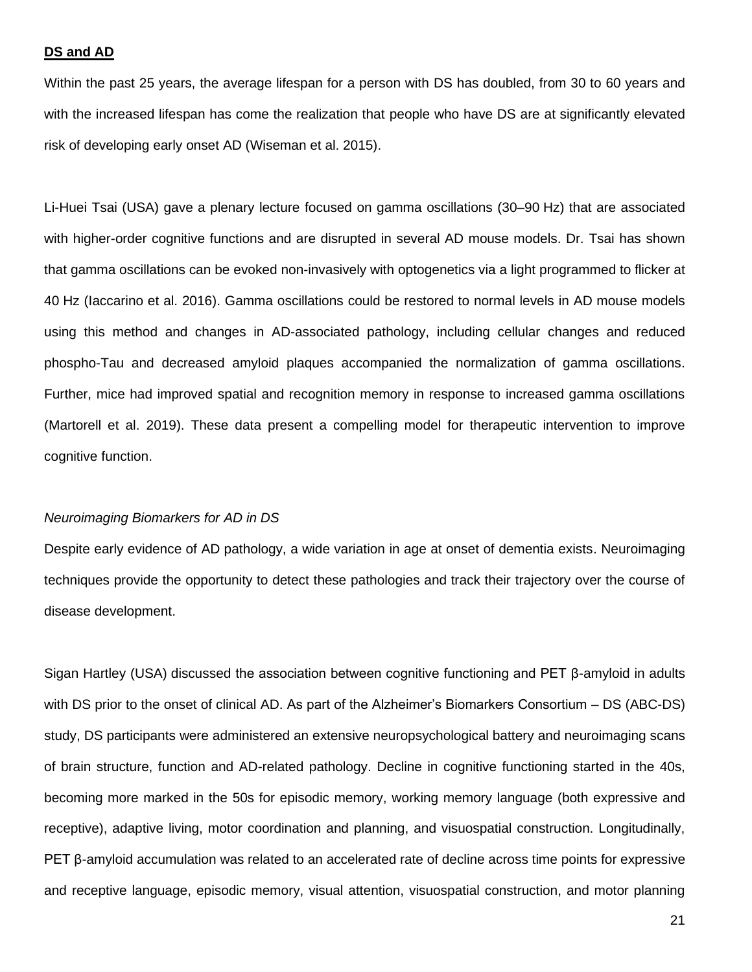#### **DS and AD**

Within the past 25 years, the average lifespan for a person with DS has doubled, from 30 to 60 years and with the increased lifespan has come the realization that people who have DS are at significantly elevated risk of developing early onset AD (Wiseman et al. 2015).

Li-Huei Tsai (USA) gave a plenary lecture focused on gamma oscillations (30–90 Hz) that are associated with higher-order cognitive functions and are disrupted in several AD mouse models. Dr. Tsai has shown that gamma oscillations can be evoked non-invasively with optogenetics via a light programmed to flicker at 40 Hz (Iaccarino et al. 2016). Gamma oscillations could be restored to normal levels in AD mouse models using this method and changes in AD-associated pathology, including cellular changes and reduced phospho-Tau and decreased amyloid plaques accompanied the normalization of gamma oscillations. Further, mice had improved spatial and recognition memory in response to increased gamma oscillations (Martorell et al. 2019). These data present a compelling model for therapeutic intervention to improve cognitive function.

#### *Neuroimaging Biomarkers for AD in DS*

Despite early evidence of AD pathology, a wide variation in age at onset of dementia exists. Neuroimaging techniques provide the opportunity to detect these pathologies and track their trajectory over the course of disease development.

Sigan Hartley (USA) discussed the association between cognitive functioning and PET β-amyloid in adults with DS prior to the onset of clinical AD. As part of the Alzheimer's Biomarkers Consortium – DS (ABC-DS) study, DS participants were administered an extensive neuropsychological battery and neuroimaging scans of brain structure, function and AD-related pathology. Decline in cognitive functioning started in the 40s, becoming more marked in the 50s for episodic memory, working memory language (both expressive and receptive), adaptive living, motor coordination and planning, and visuospatial construction. Longitudinally, PET β-amyloid accumulation was related to an accelerated rate of decline across time points for expressive and receptive language, episodic memory, visual attention, visuospatial construction, and motor planning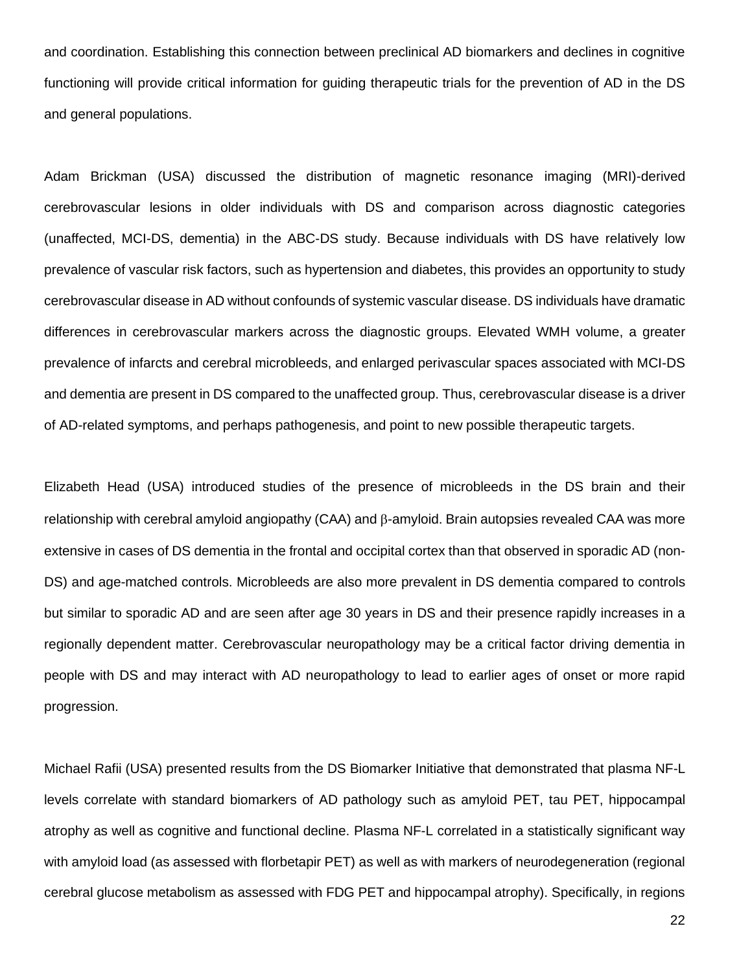and coordination. Establishing this connection between preclinical AD biomarkers and declines in cognitive functioning will provide critical information for guiding therapeutic trials for the prevention of AD in the DS and general populations.

Adam Brickman (USA) discussed the distribution of magnetic resonance imaging (MRI)-derived cerebrovascular lesions in older individuals with DS and comparison across diagnostic categories (unaffected, MCI-DS, dementia) in the ABC-DS study. Because individuals with DS have relatively low prevalence of vascular risk factors, such as hypertension and diabetes, this provides an opportunity to study cerebrovascular disease in AD without confounds of systemic vascular disease. DS individuals have dramatic differences in cerebrovascular markers across the diagnostic groups. Elevated WMH volume, a greater prevalence of infarcts and cerebral microbleeds, and enlarged perivascular spaces associated with MCI-DS and dementia are present in DS compared to the unaffected group. Thus, cerebrovascular disease is a driver of AD-related symptoms, and perhaps pathogenesis, and point to new possible therapeutic targets.

Elizabeth Head (USA) introduced studies of the presence of microbleeds in the DS brain and their relationship with cerebral amyloid angiopathy (CAA) and  $\beta$ -amyloid. Brain autopsies revealed CAA was more extensive in cases of DS dementia in the frontal and occipital cortex than that observed in sporadic AD (non-DS) and age-matched controls. Microbleeds are also more prevalent in DS dementia compared to controls but similar to sporadic AD and are seen after age 30 years in DS and their presence rapidly increases in a regionally dependent matter. Cerebrovascular neuropathology may be a critical factor driving dementia in people with DS and may interact with AD neuropathology to lead to earlier ages of onset or more rapid progression.

Michael Rafii (USA) presented results from the DS Biomarker Initiative that demonstrated that plasma NF-L levels correlate with standard biomarkers of AD pathology such as amyloid PET, tau PET, hippocampal atrophy as well as cognitive and functional decline. Plasma NF-L correlated in a statistically significant way with amyloid load (as assessed with florbetapir PET) as well as with markers of neurodegeneration (regional cerebral glucose metabolism as assessed with FDG PET and hippocampal atrophy). Specifically, in regions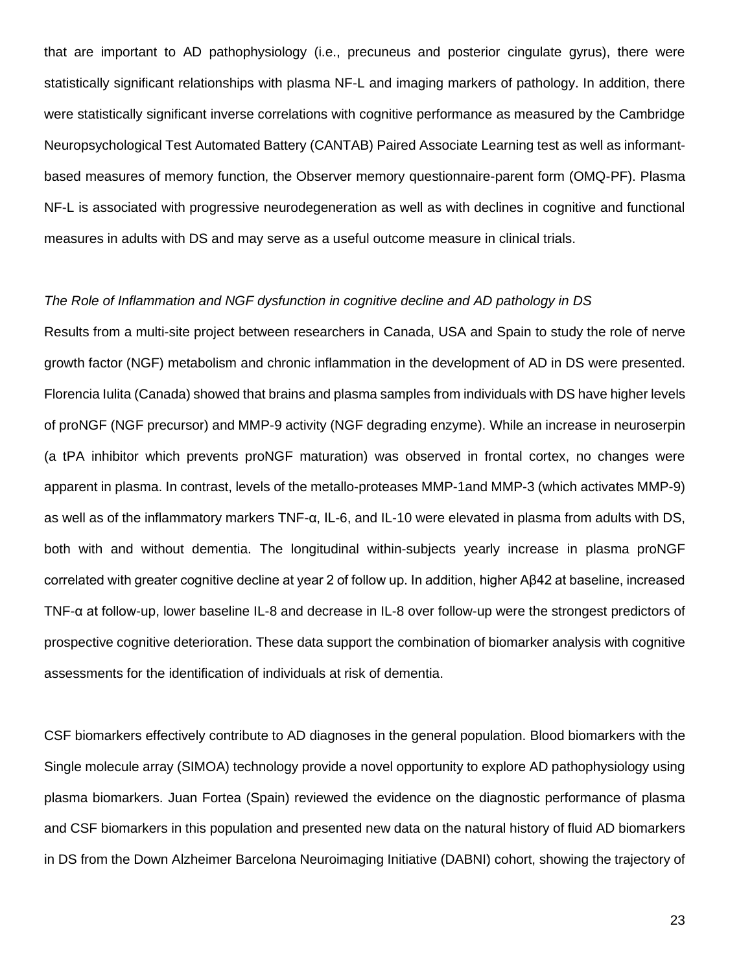that are important to AD pathophysiology (i.e., precuneus and posterior cingulate gyrus), there were statistically significant relationships with plasma NF-L and imaging markers of pathology. In addition, there were statistically significant inverse correlations with cognitive performance as measured by the Cambridge Neuropsychological Test Automated Battery (CANTAB) Paired Associate Learning test as well as informantbased measures of memory function, the Observer memory questionnaire-parent form (OMQ-PF). Plasma NF-L is associated with progressive neurodegeneration as well as with declines in cognitive and functional measures in adults with DS and may serve as a useful outcome measure in clinical trials.

## *The Role of Inflammation and NGF dysfunction in cognitive decline and AD pathology in DS*

Results from a multi-site project between researchers in Canada, USA and Spain to study the role of nerve growth factor (NGF) metabolism and chronic inflammation in the development of AD in DS were presented. Florencia Iulita (Canada) showed that brains and plasma samples from individuals with DS have higher levels of proNGF (NGF precursor) and MMP-9 activity (NGF degrading enzyme). While an increase in neuroserpin (a tPA inhibitor which prevents proNGF maturation) was observed in frontal cortex, no changes were apparent in plasma. In contrast, levels of the metallo-proteases MMP-1and MMP-3 (which activates MMP-9) as well as of the inflammatory markers TNF-α, IL-6, and IL-10 were elevated in plasma from adults with DS, both with and without dementia. The longitudinal within-subjects yearly increase in plasma proNGF correlated with greater cognitive decline at year 2 of follow up. In addition, higher Aβ42 at baseline, increased TNF-α at follow-up, lower baseline IL-8 and decrease in IL-8 over follow-up were the strongest predictors of prospective cognitive deterioration. These data support the combination of biomarker analysis with cognitive assessments for the identification of individuals at risk of dementia.

CSF biomarkers effectively contribute to AD diagnoses in the general population. Blood biomarkers with the Single molecule array (SIMOA) technology provide a novel opportunity to explore AD pathophysiology using plasma biomarkers. Juan Fortea (Spain) reviewed the evidence on the diagnostic performance of plasma and CSF biomarkers in this population and presented new data on the natural history of fluid AD biomarkers in DS from the Down Alzheimer Barcelona Neuroimaging Initiative (DABNI) cohort, showing the trajectory of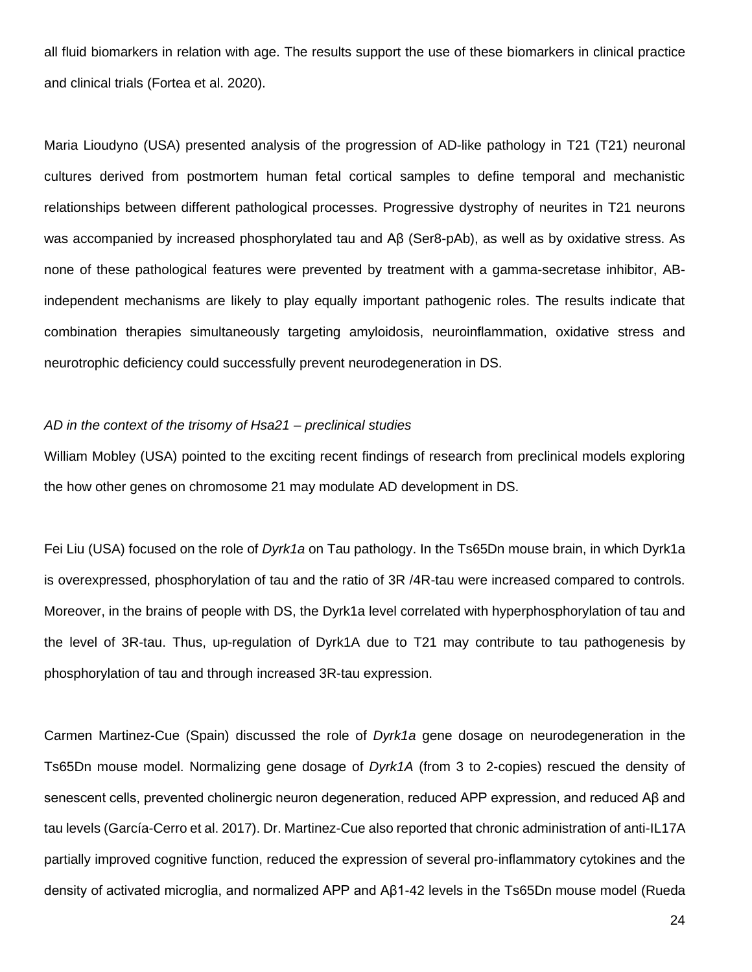all fluid biomarkers in relation with age. The results support the use of these biomarkers in clinical practice and clinical trials (Fortea et al. 2020).

Maria Lioudyno (USA) presented analysis of the progression of AD-like pathology in T21 (T21) neuronal cultures derived from postmortem human fetal cortical samples to define temporal and mechanistic relationships between different pathological processes. Progressive dystrophy of neurites in T21 neurons was accompanied by increased phosphorylated tau and Aβ (Ser8-pAb), as well as by oxidative stress. As none of these pathological features were prevented by treatment with a gamma-secretase inhibitor, ABindependent mechanisms are likely to play equally important pathogenic roles. The results indicate that combination therapies simultaneously targeting amyloidosis, neuroinflammation, oxidative stress and neurotrophic deficiency could successfully prevent neurodegeneration in DS.

### *AD in the context of the trisomy of Hsa21 – preclinical studies*

William Mobley (USA) pointed to the exciting recent findings of research from preclinical models exploring the how other genes on chromosome 21 may modulate AD development in DS.

Fei Liu (USA) focused on the role of *Dyrk1a* on Tau pathology. In the Ts65Dn mouse brain, in which Dyrk1a is overexpressed, phosphorylation of tau and the ratio of 3R /4R-tau were increased compared to controls. Moreover, in the brains of people with DS, the Dyrk1a level correlated with hyperphosphorylation of tau and the level of 3R-tau. Thus, up-regulation of Dyrk1A due to T21 may contribute to tau pathogenesis by phosphorylation of tau and through increased 3R-tau expression.

Carmen Martinez-Cue (Spain) discussed the role of *Dyrk1a* gene dosage on neurodegeneration in the Ts65Dn mouse model. Normalizing gene dosage of *Dyrk1A* (from 3 to 2-copies) rescued the density of senescent cells, prevented cholinergic neuron degeneration, reduced APP expression, and reduced Aβ and tau levels (García-Cerro et al. 2017). Dr. Martinez-Cue also reported that chronic administration of anti-IL17A partially improved cognitive function, reduced the expression of several pro-inflammatory cytokines and the density of activated microglia, and normalized APP and Aβ1-42 levels in the Ts65Dn mouse model (Rueda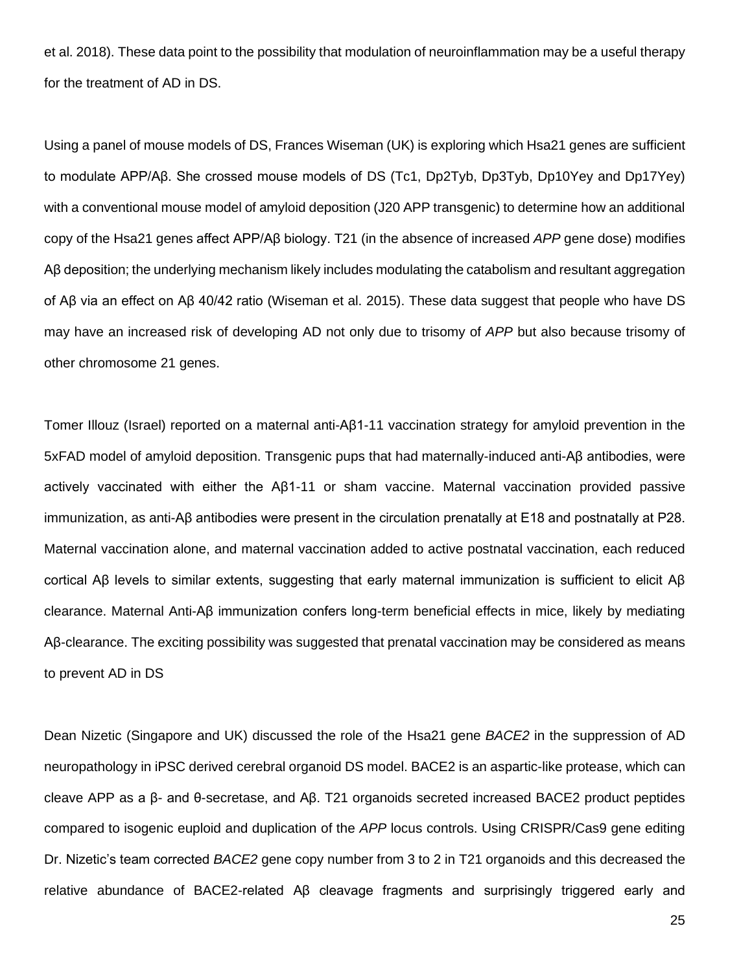et al. 2018). These data point to the possibility that modulation of neuroinflammation may be a useful therapy for the treatment of AD in DS.

Using a panel of mouse models of DS, Frances Wiseman (UK) is exploring which Hsa21 genes are sufficient to modulate APP/Aβ. She crossed mouse models of DS (Tc1, Dp2Tyb, Dp3Tyb, Dp10Yey and Dp17Yey) with a conventional mouse model of amyloid deposition (J20 APP transgenic) to determine how an additional copy of the Hsa21 genes affect APP/Aβ biology. T21 (in the absence of increased *APP* gene dose) modifies Aβ deposition; the underlying mechanism likely includes modulating the catabolism and resultant aggregation of Aβ via an effect on Aβ 40/42 ratio (Wiseman et al. 2015). These data suggest that people who have DS may have an increased risk of developing AD not only due to trisomy of *APP* but also because trisomy of other chromosome 21 genes.

Tomer Illouz (Israel) reported on a maternal anti-Aβ1-11 vaccination strategy for amyloid prevention in the 5xFAD model of amyloid deposition. Transgenic pups that had maternally-induced anti-Aβ antibodies, were actively vaccinated with either the Aβ1-11 or sham vaccine. Maternal vaccination provided passive immunization, as anti-Aβ antibodies were present in the circulation prenatally at E18 and postnatally at P28. Maternal vaccination alone, and maternal vaccination added to active postnatal vaccination, each reduced cortical Aβ levels to similar extents, suggesting that early maternal immunization is sufficient to elicit Aβ clearance. Maternal Anti-Aβ immunization confers long-term beneficial effects in mice, likely by mediating Aβ-clearance. The exciting possibility was suggested that prenatal vaccination may be considered as means to prevent AD in DS

Dean Nizetic (Singapore and UK) discussed the role of the Hsa21 gene *BACE2* in the suppression of AD neuropathology in iPSC derived cerebral organoid DS model. BACE2 is an aspartic-like protease, which can cleave APP as a β- and θ-secretase, and Aβ. T21 organoids secreted increased BACE2 product peptides compared to isogenic euploid and duplication of the *APP* locus controls. Using CRISPR/Cas9 gene editing Dr. Nizetic's team corrected *BACE2* gene copy number from 3 to 2 in T21 organoids and this decreased the relative abundance of BACE2-related Aβ cleavage fragments and surprisingly triggered early and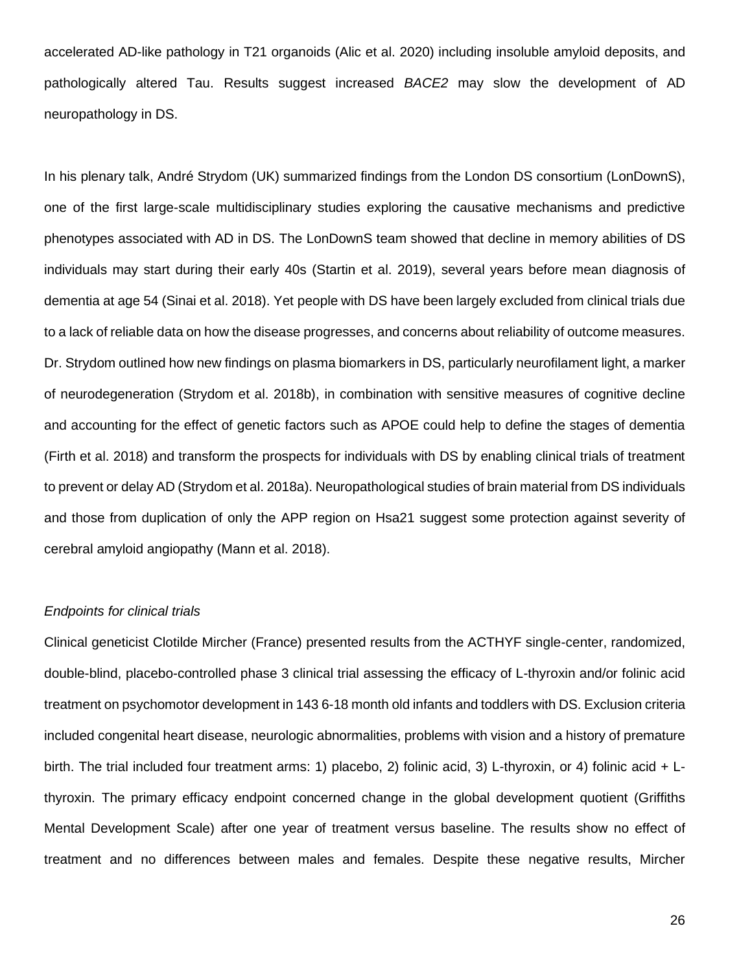accelerated AD-like pathology in T21 organoids (Alic et al. 2020) including insoluble amyloid deposits, and pathologically altered Tau. Results suggest increased *BACE2* may slow the development of AD neuropathology in DS.

In his plenary talk, André Strydom (UK) summarized findings from the London DS consortium (LonDownS), one of the first large-scale multidisciplinary studies exploring the causative mechanisms and predictive phenotypes associated with AD in DS. The LonDownS team showed that decline in memory abilities of DS individuals may start during their early 40s (Startin et al. 2019), several years before mean diagnosis of dementia at age 54 (Sinai et al. 2018). Yet people with DS have been largely excluded from clinical trials due to a lack of reliable data on how the disease progresses, and concerns about reliability of outcome measures. Dr. Strydom outlined how new findings on plasma biomarkers in DS, particularly neurofilament light, a marker of neurodegeneration (Strydom et al. 2018b), in combination with sensitive measures of cognitive decline and accounting for the effect of genetic factors such as APOE could help to define the stages of dementia (Firth et al. 2018) and transform the prospects for individuals with DS by enabling clinical trials of treatment to prevent or delay AD (Strydom et al. 2018a). Neuropathological studies of brain material from DS individuals and those from duplication of only the APP region on Hsa21 suggest some protection against severity of cerebral amyloid angiopathy (Mann et al. 2018).

## *Endpoints for clinical trials*

Clinical geneticist Clotilde Mircher (France) presented results from the ACTHYF single-center, randomized, double-blind, placebo-controlled phase 3 clinical trial assessing the efficacy of L-thyroxin and/or folinic acid treatment on psychomotor development in 143 6-18 month old infants and toddlers with DS. Exclusion criteria included congenital heart disease, neurologic abnormalities, problems with vision and a history of premature birth. The trial included four treatment arms: 1) placebo, 2) folinic acid, 3) L-thyroxin, or 4) folinic acid + Lthyroxin. The primary efficacy endpoint concerned change in the global development quotient (Griffiths Mental Development Scale) after one year of treatment versus baseline. The results show no effect of treatment and no differences between males and females. Despite these negative results, Mircher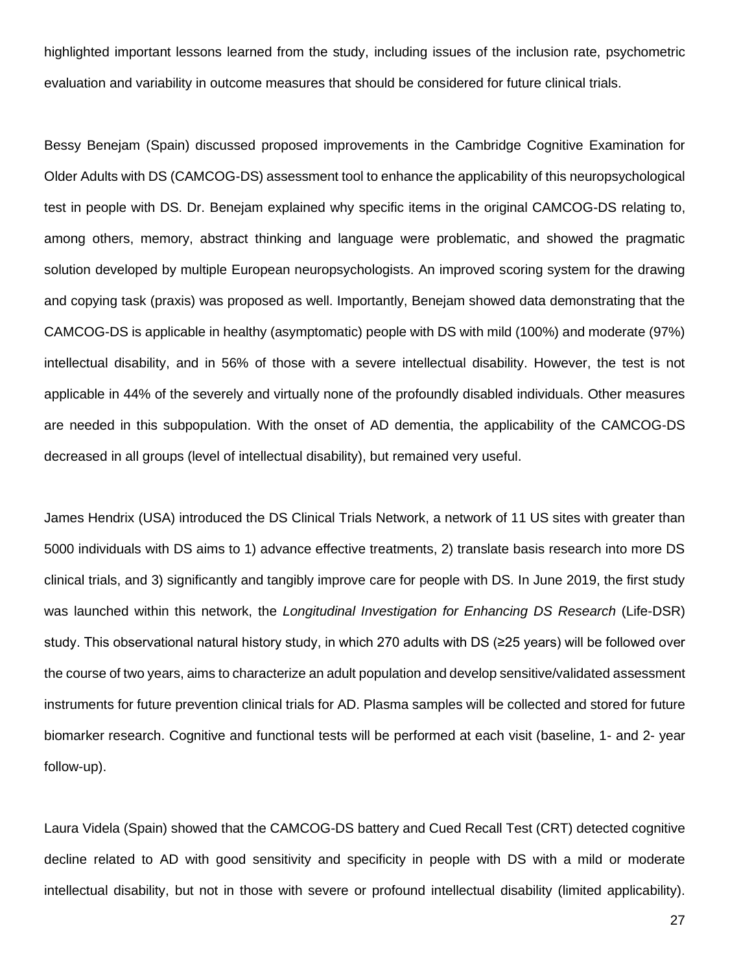highlighted important lessons learned from the study, including issues of the inclusion rate, psychometric evaluation and variability in outcome measures that should be considered for future clinical trials.

Bessy Benejam (Spain) discussed proposed improvements in the Cambridge Cognitive Examination for Older Adults with DS (CAMCOG-DS) assessment tool to enhance the applicability of this neuropsychological test in people with DS. Dr. Benejam explained why specific items in the original CAMCOG-DS relating to, among others, memory, abstract thinking and language were problematic, and showed the pragmatic solution developed by multiple European neuropsychologists. An improved scoring system for the drawing and copying task (praxis) was proposed as well. Importantly, Benejam showed data demonstrating that the CAMCOG-DS is applicable in healthy (asymptomatic) people with DS with mild (100%) and moderate (97%) intellectual disability, and in 56% of those with a severe intellectual disability. However, the test is not applicable in 44% of the severely and virtually none of the profoundly disabled individuals. Other measures are needed in this subpopulation. With the onset of AD dementia, the applicability of the CAMCOG-DS decreased in all groups (level of intellectual disability), but remained very useful.

James Hendrix (USA) introduced the DS Clinical Trials Network, a network of 11 US sites with greater than 5000 individuals with DS aims to 1) advance effective treatments, 2) translate basis research into more DS clinical trials, and 3) significantly and tangibly improve care for people with DS. In June 2019, the first study was launched within this network, the *Longitudinal Investigation for Enhancing DS Research* (Life-DSR) study. This observational natural history study, in which 270 adults with DS (≥25 years) will be followed over the course of two years, aims to characterize an adult population and develop sensitive/validated assessment instruments for future prevention clinical trials for AD. Plasma samples will be collected and stored for future biomarker research. Cognitive and functional tests will be performed at each visit (baseline, 1- and 2- year follow-up).

Laura Videla (Spain) showed that the CAMCOG-DS battery and Cued Recall Test (CRT) detected cognitive decline related to AD with good sensitivity and specificity in people with DS with a mild or moderate intellectual disability, but not in those with severe or profound intellectual disability (limited applicability).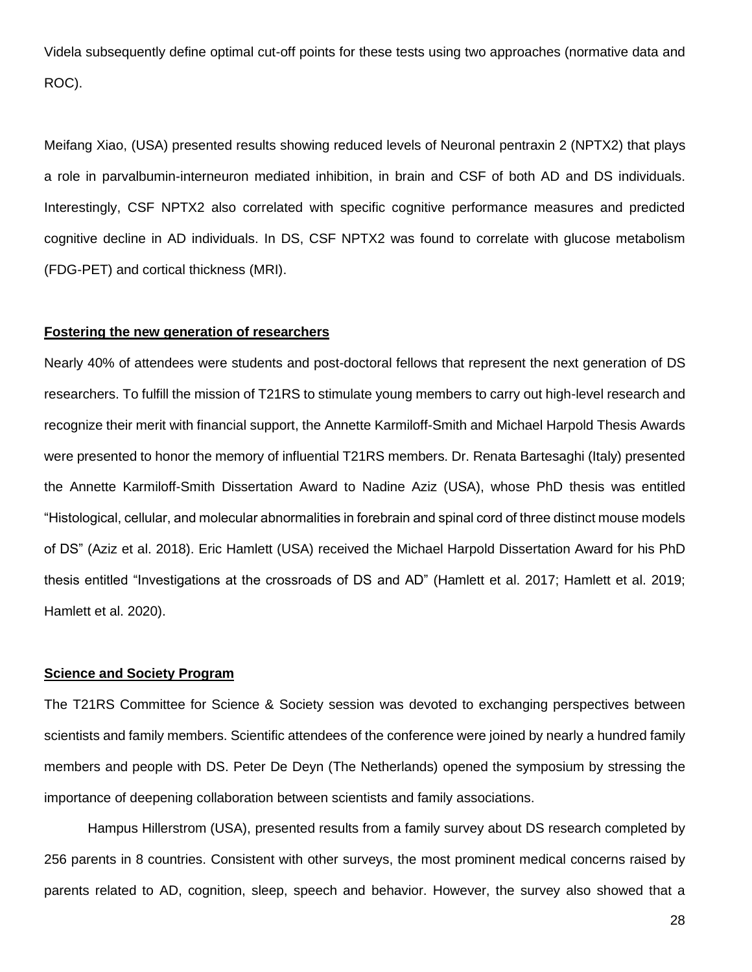Videla subsequently define optimal cut-off points for these tests using two approaches (normative data and ROC).

Meifang Xiao, (USA) presented results showing reduced levels of Neuronal pentraxin 2 (NPTX2) that plays a role in parvalbumin-interneuron mediated inhibition, in brain and CSF of both AD and DS individuals. Interestingly, CSF NPTX2 also correlated with specific cognitive performance measures and predicted cognitive decline in AD individuals. In DS, CSF NPTX2 was found to correlate with glucose metabolism (FDG-PET) and cortical thickness (MRI).

# **Fostering the new generation of researchers**

Nearly 40% of attendees were students and post-doctoral fellows that represent the next generation of DS researchers. To fulfill the mission of T21RS to stimulate young members to carry out high-level research and recognize their merit with financial support, the Annette Karmiloff-Smith and Michael Harpold Thesis Awards were presented to honor the memory of influential T21RS members. Dr. Renata Bartesaghi (Italy) presented the Annette Karmiloff-Smith Dissertation Award to Nadine Aziz (USA), whose PhD thesis was entitled "Histological, cellular, and molecular abnormalities in forebrain and spinal cord of three distinct mouse models of DS" (Aziz et al. 2018). Eric Hamlett (USA) received the Michael Harpold Dissertation Award for his PhD thesis entitled "Investigations at the crossroads of DS and AD" (Hamlett et al. 2017; Hamlett et al. 2019; Hamlett et al. 2020).

#### **Science and Society Program**

The T21RS Committee for Science & Society session was devoted to exchanging perspectives between scientists and family members. Scientific attendees of the conference were joined by nearly a hundred family members and people with DS. Peter De Deyn (The Netherlands) opened the symposium by stressing the importance of deepening collaboration between scientists and family associations.

Hampus Hillerstrom (USA), presented results from a family survey about DS research completed by 256 parents in 8 countries. Consistent with other surveys, the most prominent medical concerns raised by parents related to AD, cognition, sleep, speech and behavior. However, the survey also showed that a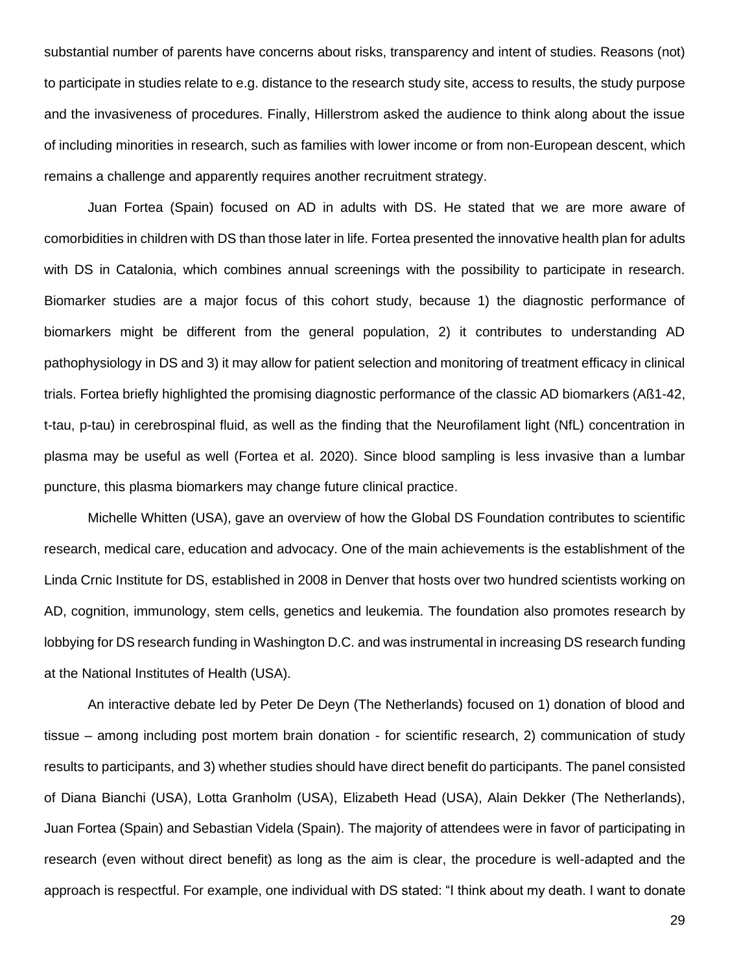substantial number of parents have concerns about risks, transparency and intent of studies. Reasons (not) to participate in studies relate to e.g. distance to the research study site, access to results, the study purpose and the invasiveness of procedures. Finally, Hillerstrom asked the audience to think along about the issue of including minorities in research, such as families with lower income or from non-European descent, which remains a challenge and apparently requires another recruitment strategy.

Juan Fortea (Spain) focused on AD in adults with DS. He stated that we are more aware of comorbidities in children with DS than those later in life. Fortea presented the innovative health plan for adults with DS in Catalonia, which combines annual screenings with the possibility to participate in research. Biomarker studies are a major focus of this cohort study, because 1) the diagnostic performance of biomarkers might be different from the general population, 2) it contributes to understanding AD pathophysiology in DS and 3) it may allow for patient selection and monitoring of treatment efficacy in clinical trials. Fortea briefly highlighted the promising diagnostic performance of the classic AD biomarkers (Aß1-42, t-tau, p-tau) in cerebrospinal fluid, as well as the finding that the Neurofilament light (NfL) concentration in plasma may be useful as well (Fortea et al. 2020). Since blood sampling is less invasive than a lumbar puncture, this plasma biomarkers may change future clinical practice.

Michelle Whitten (USA), gave an overview of how the Global DS Foundation contributes to scientific research, medical care, education and advocacy. One of the main achievements is the establishment of the Linda Crnic Institute for DS, established in 2008 in Denver that hosts over two hundred scientists working on AD, cognition, immunology, stem cells, genetics and leukemia. The foundation also promotes research by lobbying for DS research funding in Washington D.C. and was instrumental in increasing DS research funding at the National Institutes of Health (USA).

An interactive debate led by Peter De Deyn (The Netherlands) focused on 1) donation of blood and tissue – among including post mortem brain donation - for scientific research, 2) communication of study results to participants, and 3) whether studies should have direct benefit do participants. The panel consisted of Diana Bianchi (USA), Lotta Granholm (USA), Elizabeth Head (USA), Alain Dekker (The Netherlands), Juan Fortea (Spain) and Sebastian Videla (Spain). The majority of attendees were in favor of participating in research (even without direct benefit) as long as the aim is clear, the procedure is well-adapted and the approach is respectful. For example, one individual with DS stated: "I think about my death. I want to donate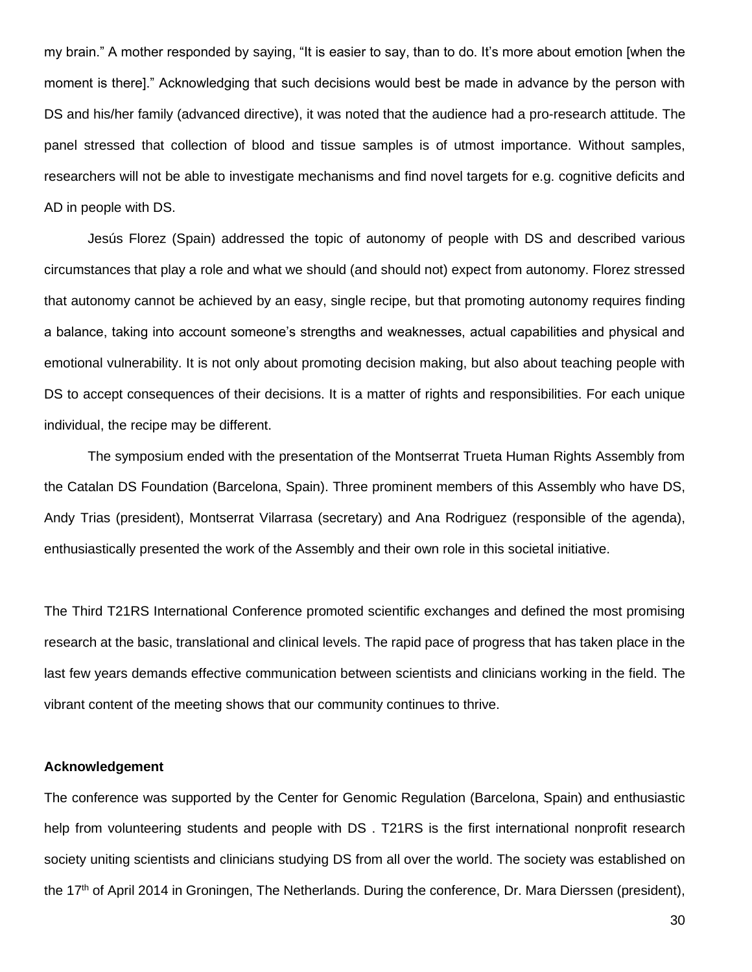my brain." A mother responded by saying, "It is easier to say, than to do. It's more about emotion [when the moment is there]." Acknowledging that such decisions would best be made in advance by the person with DS and his/her family (advanced directive), it was noted that the audience had a pro-research attitude. The panel stressed that collection of blood and tissue samples is of utmost importance. Without samples, researchers will not be able to investigate mechanisms and find novel targets for e.g. cognitive deficits and AD in people with DS.

Jesús Florez (Spain) addressed the topic of autonomy of people with DS and described various circumstances that play a role and what we should (and should not) expect from autonomy. Florez stressed that autonomy cannot be achieved by an easy, single recipe, but that promoting autonomy requires finding a balance, taking into account someone's strengths and weaknesses, actual capabilities and physical and emotional vulnerability. It is not only about promoting decision making, but also about teaching people with DS to accept consequences of their decisions. It is a matter of rights and responsibilities. For each unique individual, the recipe may be different.

The symposium ended with the presentation of the Montserrat Trueta Human Rights Assembly from the Catalan DS Foundation (Barcelona, Spain). Three prominent members of this Assembly who have DS, Andy Trias (president), Montserrat Vilarrasa (secretary) and Ana Rodriguez (responsible of the agenda), enthusiastically presented the work of the Assembly and their own role in this societal initiative.

The Third T21RS International Conference promoted scientific exchanges and defined the most promising research at the basic, translational and clinical levels. The rapid pace of progress that has taken place in the last few years demands effective communication between scientists and clinicians working in the field. The vibrant content of the meeting shows that our community continues to thrive.

## **Acknowledgement**

The conference was supported by the Center for Genomic Regulation (Barcelona, Spain) and enthusiastic help from volunteering students and people with DS . T21RS is the first international nonprofit research society uniting scientists and clinicians studying DS from all over the world. The society was established on the 17<sup>th</sup> of April 2014 in Groningen, The Netherlands. During the conference, Dr. Mara Dierssen (president),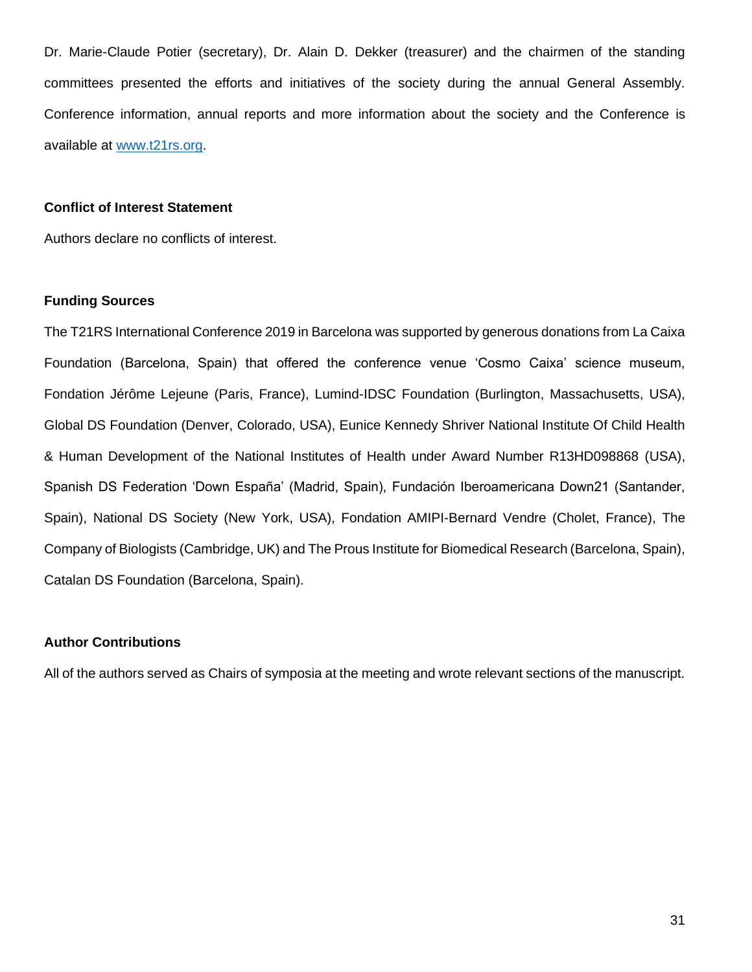Dr. Marie-Claude Potier (secretary), Dr. Alain D. Dekker (treasurer) and the chairmen of the standing committees presented the efforts and initiatives of the society during the annual General Assembly. Conference information, annual reports and more information about the society and the Conference is available at [www.t21rs.org.](http://www.t21rs.org/)

### **Conflict of Interest Statement**

Authors declare no conflicts of interest.

## **Funding Sources**

The T21RS International Conference 2019 in Barcelona was supported by generous donations from La Caixa Foundation (Barcelona, Spain) that offered the conference venue 'Cosmo Caixa' science museum, Fondation Jérôme Lejeune (Paris, France), Lumind-IDSC Foundation (Burlington, Massachusetts, USA), Global DS Foundation (Denver, Colorado, USA), Eunice Kennedy Shriver National Institute Of Child Health & Human Development of the National Institutes of Health under Award Number R13HD098868 (USA), Spanish DS Federation 'Down España' (Madrid, Spain), Fundación Iberoamericana Down21 (Santander, Spain), National DS Society (New York, USA), Fondation AMIPI-Bernard Vendre (Cholet, France), The Company of Biologists (Cambridge, UK) and The Prous Institute for Biomedical Research (Barcelona, Spain), Catalan DS Foundation (Barcelona, Spain).

# **Author Contributions**

All of the authors served as Chairs of symposia at the meeting and wrote relevant sections of the manuscript.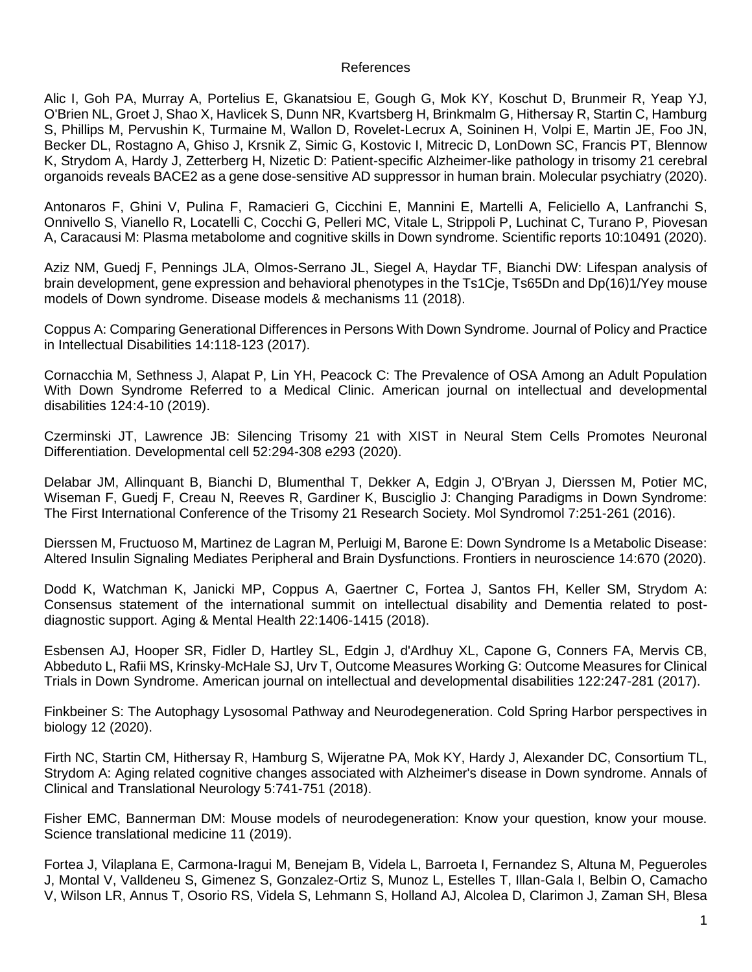## References

Alic I, Goh PA, Murray A, Portelius E, Gkanatsiou E, Gough G, Mok KY, Koschut D, Brunmeir R, Yeap YJ, O'Brien NL, Groet J, Shao X, Havlicek S, Dunn NR, Kvartsberg H, Brinkmalm G, Hithersay R, Startin C, Hamburg S, Phillips M, Pervushin K, Turmaine M, Wallon D, Rovelet-Lecrux A, Soininen H, Volpi E, Martin JE, Foo JN, Becker DL, Rostagno A, Ghiso J, Krsnik Z, Simic G, Kostovic I, Mitrecic D, LonDown SC, Francis PT, Blennow K, Strydom A, Hardy J, Zetterberg H, Nizetic D: Patient-specific Alzheimer-like pathology in trisomy 21 cerebral organoids reveals BACE2 as a gene dose-sensitive AD suppressor in human brain. Molecular psychiatry (2020).

Antonaros F, Ghini V, Pulina F, Ramacieri G, Cicchini E, Mannini E, Martelli A, Feliciello A, Lanfranchi S, Onnivello S, Vianello R, Locatelli C, Cocchi G, Pelleri MC, Vitale L, Strippoli P, Luchinat C, Turano P, Piovesan A, Caracausi M: Plasma metabolome and cognitive skills in Down syndrome. Scientific reports 10:10491 (2020).

Aziz NM, Guedj F, Pennings JLA, Olmos-Serrano JL, Siegel A, Haydar TF, Bianchi DW: Lifespan analysis of brain development, gene expression and behavioral phenotypes in the Ts1Cje, Ts65Dn and Dp(16)1/Yey mouse models of Down syndrome. Disease models & mechanisms 11 (2018).

Coppus A: Comparing Generational Differences in Persons With Down Syndrome. Journal of Policy and Practice in Intellectual Disabilities 14:118-123 (2017).

Cornacchia M, Sethness J, Alapat P, Lin YH, Peacock C: The Prevalence of OSA Among an Adult Population With Down Syndrome Referred to a Medical Clinic. American journal on intellectual and developmental disabilities 124:4-10 (2019).

Czerminski JT, Lawrence JB: Silencing Trisomy 21 with XIST in Neural Stem Cells Promotes Neuronal Differentiation. Developmental cell 52:294-308 e293 (2020).

Delabar JM, Allinquant B, Bianchi D, Blumenthal T, Dekker A, Edgin J, O'Bryan J, Dierssen M, Potier MC, Wiseman F, Guedj F, Creau N, Reeves R, Gardiner K, Busciglio J: Changing Paradigms in Down Syndrome: The First International Conference of the Trisomy 21 Research Society. Mol Syndromol 7:251-261 (2016).

Dierssen M, Fructuoso M, Martinez de Lagran M, Perluigi M, Barone E: Down Syndrome Is a Metabolic Disease: Altered Insulin Signaling Mediates Peripheral and Brain Dysfunctions. Frontiers in neuroscience 14:670 (2020).

Dodd K, Watchman K, Janicki MP, Coppus A, Gaertner C, Fortea J, Santos FH, Keller SM, Strydom A: Consensus statement of the international summit on intellectual disability and Dementia related to postdiagnostic support. Aging & Mental Health 22:1406-1415 (2018).

Esbensen AJ, Hooper SR, Fidler D, Hartley SL, Edgin J, d'Ardhuy XL, Capone G, Conners FA, Mervis CB, Abbeduto L, Rafii MS, Krinsky-McHale SJ, Urv T, Outcome Measures Working G: Outcome Measures for Clinical Trials in Down Syndrome. American journal on intellectual and developmental disabilities 122:247-281 (2017).

Finkbeiner S: The Autophagy Lysosomal Pathway and Neurodegeneration. Cold Spring Harbor perspectives in biology 12 (2020).

Firth NC, Startin CM, Hithersay R, Hamburg S, Wijeratne PA, Mok KY, Hardy J, Alexander DC, Consortium TL, Strydom A: Aging related cognitive changes associated with Alzheimer's disease in Down syndrome. Annals of Clinical and Translational Neurology 5:741-751 (2018).

Fisher EMC, Bannerman DM: Mouse models of neurodegeneration: Know your question, know your mouse. Science translational medicine 11 (2019).

Fortea J, Vilaplana E, Carmona-Iragui M, Benejam B, Videla L, Barroeta I, Fernandez S, Altuna M, Pegueroles J, Montal V, Valldeneu S, Gimenez S, Gonzalez-Ortiz S, Munoz L, Estelles T, Illan-Gala I, Belbin O, Camacho V, Wilson LR, Annus T, Osorio RS, Videla S, Lehmann S, Holland AJ, Alcolea D, Clarimon J, Zaman SH, Blesa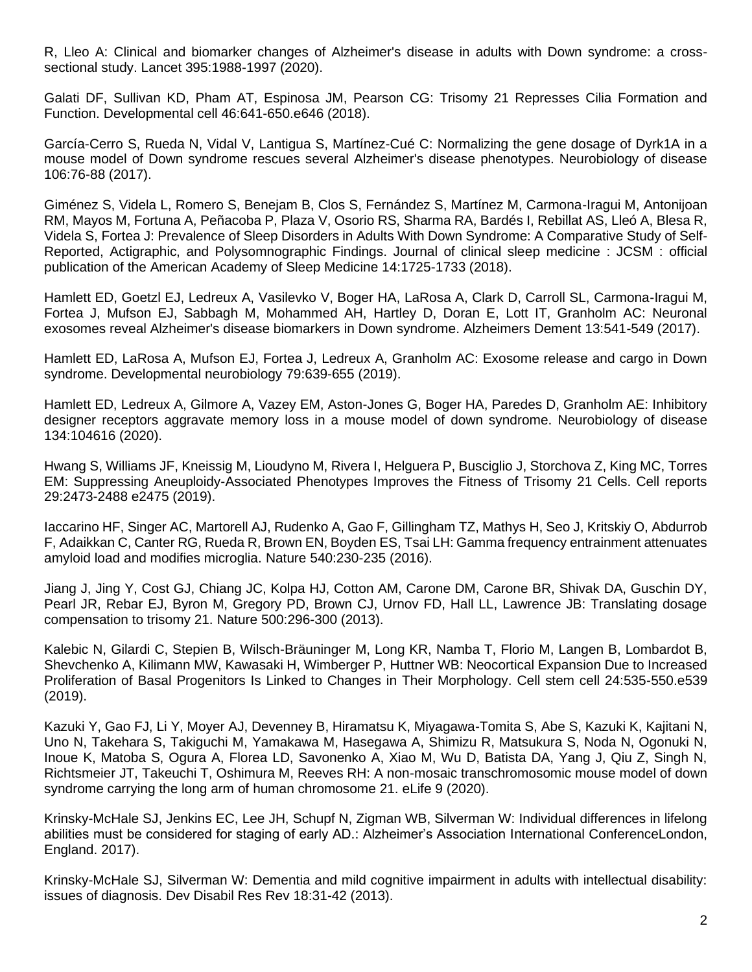R, Lleo A: Clinical and biomarker changes of Alzheimer's disease in adults with Down syndrome: a crosssectional study. Lancet 395:1988-1997 (2020).

Galati DF, Sullivan KD, Pham AT, Espinosa JM, Pearson CG: Trisomy 21 Represses Cilia Formation and Function. Developmental cell 46:641-650.e646 (2018).

García-Cerro S, Rueda N, Vidal V, Lantigua S, Martínez-Cué C: Normalizing the gene dosage of Dyrk1A in a mouse model of Down syndrome rescues several Alzheimer's disease phenotypes. Neurobiology of disease 106:76-88 (2017).

Giménez S, Videla L, Romero S, Benejam B, Clos S, Fernández S, Martínez M, Carmona-Iragui M, Antonijoan RM, Mayos M, Fortuna A, Peñacoba P, Plaza V, Osorio RS, Sharma RA, Bardés I, Rebillat AS, Lleó A, Blesa R, Videla S, Fortea J: Prevalence of Sleep Disorders in Adults With Down Syndrome: A Comparative Study of Self-Reported, Actigraphic, and Polysomnographic Findings. Journal of clinical sleep medicine : JCSM : official publication of the American Academy of Sleep Medicine 14:1725-1733 (2018).

Hamlett ED, Goetzl EJ, Ledreux A, Vasilevko V, Boger HA, LaRosa A, Clark D, Carroll SL, Carmona-Iragui M, Fortea J, Mufson EJ, Sabbagh M, Mohammed AH, Hartley D, Doran E, Lott IT, Granholm AC: Neuronal exosomes reveal Alzheimer's disease biomarkers in Down syndrome. Alzheimers Dement 13:541-549 (2017).

Hamlett ED, LaRosa A, Mufson EJ, Fortea J, Ledreux A, Granholm AC: Exosome release and cargo in Down syndrome. Developmental neurobiology 79:639-655 (2019).

Hamlett ED, Ledreux A, Gilmore A, Vazey EM, Aston-Jones G, Boger HA, Paredes D, Granholm AE: Inhibitory designer receptors aggravate memory loss in a mouse model of down syndrome. Neurobiology of disease 134:104616 (2020).

Hwang S, Williams JF, Kneissig M, Lioudyno M, Rivera I, Helguera P, Busciglio J, Storchova Z, King MC, Torres EM: Suppressing Aneuploidy-Associated Phenotypes Improves the Fitness of Trisomy 21 Cells. Cell reports 29:2473-2488 e2475 (2019).

Iaccarino HF, Singer AC, Martorell AJ, Rudenko A, Gao F, Gillingham TZ, Mathys H, Seo J, Kritskiy O, Abdurrob F, Adaikkan C, Canter RG, Rueda R, Brown EN, Boyden ES, Tsai LH: Gamma frequency entrainment attenuates amyloid load and modifies microglia. Nature 540:230-235 (2016).

Jiang J, Jing Y, Cost GJ, Chiang JC, Kolpa HJ, Cotton AM, Carone DM, Carone BR, Shivak DA, Guschin DY, Pearl JR, Rebar EJ, Byron M, Gregory PD, Brown CJ, Urnov FD, Hall LL, Lawrence JB: Translating dosage compensation to trisomy 21. Nature 500:296-300 (2013).

Kalebic N, Gilardi C, Stepien B, Wilsch-Bräuninger M, Long KR, Namba T, Florio M, Langen B, Lombardot B, Shevchenko A, Kilimann MW, Kawasaki H, Wimberger P, Huttner WB: Neocortical Expansion Due to Increased Proliferation of Basal Progenitors Is Linked to Changes in Their Morphology. Cell stem cell 24:535-550.e539 (2019).

Kazuki Y, Gao FJ, Li Y, Moyer AJ, Devenney B, Hiramatsu K, Miyagawa-Tomita S, Abe S, Kazuki K, Kajitani N, Uno N, Takehara S, Takiguchi M, Yamakawa M, Hasegawa A, Shimizu R, Matsukura S, Noda N, Ogonuki N, Inoue K, Matoba S, Ogura A, Florea LD, Savonenko A, Xiao M, Wu D, Batista DA, Yang J, Qiu Z, Singh N, Richtsmeier JT, Takeuchi T, Oshimura M, Reeves RH: A non-mosaic transchromosomic mouse model of down syndrome carrying the long arm of human chromosome 21. eLife 9 (2020).

Krinsky-McHale SJ, Jenkins EC, Lee JH, Schupf N, Zigman WB, Silverman W: Individual differences in lifelong abilities must be considered for staging of early AD.: Alzheimer's Association International ConferenceLondon, England. 2017).

Krinsky-McHale SJ, Silverman W: Dementia and mild cognitive impairment in adults with intellectual disability: issues of diagnosis. Dev Disabil Res Rev 18:31-42 (2013).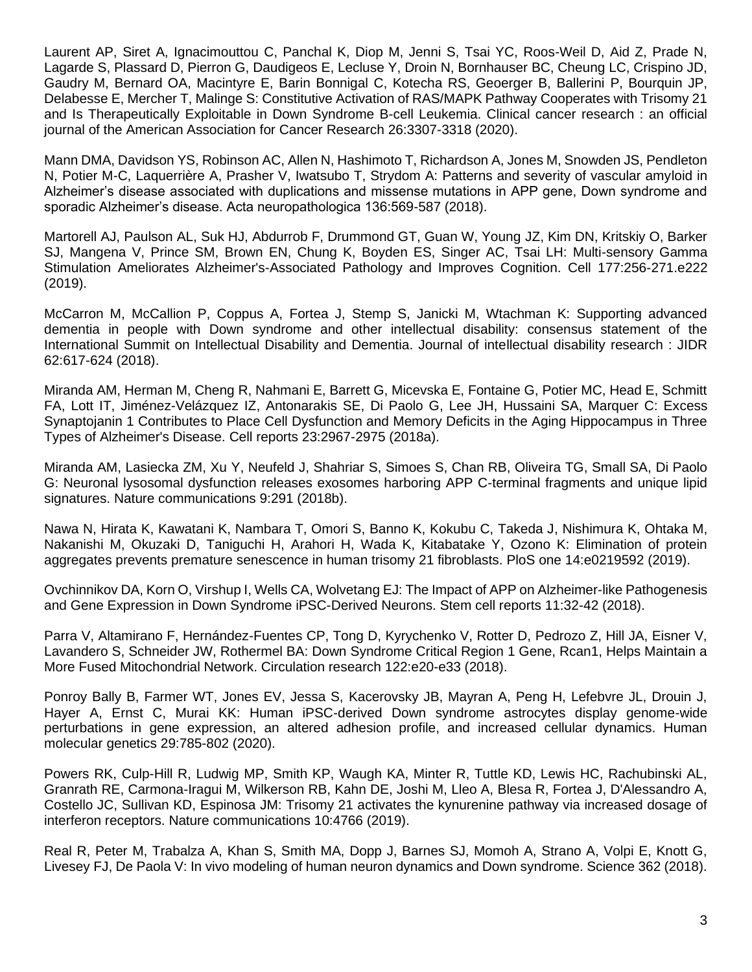Laurent AP, Siret A, Ignacimouttou C, Panchal K, Diop M, Jenni S, Tsai YC, Roos-Weil D, Aid Z, Prade N, Lagarde S, Plassard D, Pierron G, Daudigeos E, Lecluse Y, Droin N, Bornhauser BC, Cheung LC, Crispino JD, Gaudry M, Bernard OA, Macintyre E, Barin Bonnigal C, Kotecha RS, Geoerger B, Ballerini P, Bourquin JP, Delabesse E, Mercher T, Malinge S: Constitutive Activation of RAS/MAPK Pathway Cooperates with Trisomy 21 and Is Therapeutically Exploitable in Down Syndrome B-cell Leukemia. Clinical cancer research : an official journal of the American Association for Cancer Research 26:3307-3318 (2020).

Mann DMA, Davidson YS, Robinson AC, Allen N, Hashimoto T, Richardson A, Jones M, Snowden JS, Pendleton N, Potier M-C, Laquerrière A, Prasher V, Iwatsubo T, Strydom A: Patterns and severity of vascular amyloid in Alzheimer's disease associated with duplications and missense mutations in APP gene, Down syndrome and sporadic Alzheimer's disease. Acta neuropathologica 136:569-587 (2018).

Martorell AJ, Paulson AL, Suk HJ, Abdurrob F, Drummond GT, Guan W, Young JZ, Kim DN, Kritskiy O, Barker SJ, Mangena V, Prince SM, Brown EN, Chung K, Boyden ES, Singer AC, Tsai LH: Multi-sensory Gamma Stimulation Ameliorates Alzheimer's-Associated Pathology and Improves Cognition. Cell 177:256-271.e222 (2019).

McCarron M, McCallion P, Coppus A, Fortea J, Stemp S, Janicki M, Wtachman K: Supporting advanced dementia in people with Down syndrome and other intellectual disability: consensus statement of the International Summit on Intellectual Disability and Dementia. Journal of intellectual disability research : JIDR 62:617-624 (2018).

Miranda AM, Herman M, Cheng R, Nahmani E, Barrett G, Micevska E, Fontaine G, Potier MC, Head E, Schmitt FA, Lott IT, Jiménez-Velázquez IZ, Antonarakis SE, Di Paolo G, Lee JH, Hussaini SA, Marquer C: Excess Synaptojanin 1 Contributes to Place Cell Dysfunction and Memory Deficits in the Aging Hippocampus in Three Types of Alzheimer's Disease. Cell reports 23:2967-2975 (2018a).

Miranda AM, Lasiecka ZM, Xu Y, Neufeld J, Shahriar S, Simoes S, Chan RB, Oliveira TG, Small SA, Di Paolo G: Neuronal lysosomal dysfunction releases exosomes harboring APP C-terminal fragments and unique lipid signatures. Nature communications 9:291 (2018b).

Nawa N, Hirata K, Kawatani K, Nambara T, Omori S, Banno K, Kokubu C, Takeda J, Nishimura K, Ohtaka M, Nakanishi M, Okuzaki D, Taniguchi H, Arahori H, Wada K, Kitabatake Y, Ozono K: Elimination of protein aggregates prevents premature senescence in human trisomy 21 fibroblasts. PloS one 14:e0219592 (2019).

Ovchinnikov DA, Korn O, Virshup I, Wells CA, Wolvetang EJ: The Impact of APP on Alzheimer-like Pathogenesis and Gene Expression in Down Syndrome iPSC-Derived Neurons. Stem cell reports 11:32-42 (2018).

Parra V, Altamirano F, Hernández-Fuentes CP, Tong D, Kyrychenko V, Rotter D, Pedrozo Z, Hill JA, Eisner V, Lavandero S, Schneider JW, Rothermel BA: Down Syndrome Critical Region 1 Gene, Rcan1, Helps Maintain a More Fused Mitochondrial Network. Circulation research 122:e20-e33 (2018).

Ponroy Bally B, Farmer WT, Jones EV, Jessa S, Kacerovsky JB, Mayran A, Peng H, Lefebvre JL, Drouin J, Hayer A, Ernst C, Murai KK: Human iPSC-derived Down syndrome astrocytes display genome-wide perturbations in gene expression, an altered adhesion profile, and increased cellular dynamics. Human molecular genetics 29:785-802 (2020).

Powers RK, Culp-Hill R, Ludwig MP, Smith KP, Waugh KA, Minter R, Tuttle KD, Lewis HC, Rachubinski AL, Granrath RE, Carmona-Iragui M, Wilkerson RB, Kahn DE, Joshi M, Lleo A, Blesa R, Fortea J, D'Alessandro A, Costello JC, Sullivan KD, Espinosa JM: Trisomy 21 activates the kynurenine pathway via increased dosage of interferon receptors. Nature communications 10:4766 (2019).

Real R, Peter M, Trabalza A, Khan S, Smith MA, Dopp J, Barnes SJ, Momoh A, Strano A, Volpi E, Knott G, Livesey FJ, De Paola V: In vivo modeling of human neuron dynamics and Down syndrome. Science 362 (2018).